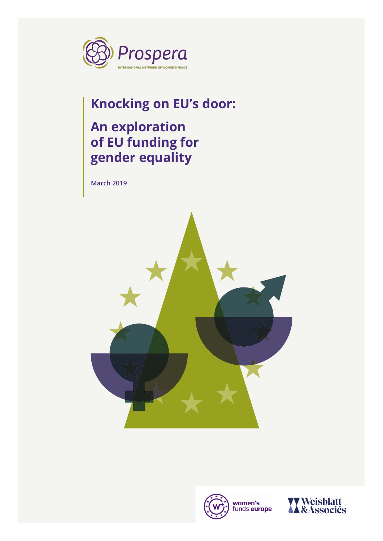

## **Knocking on EU's door:**

## **An exploration of EU funding for gender equality**

**March 2019**





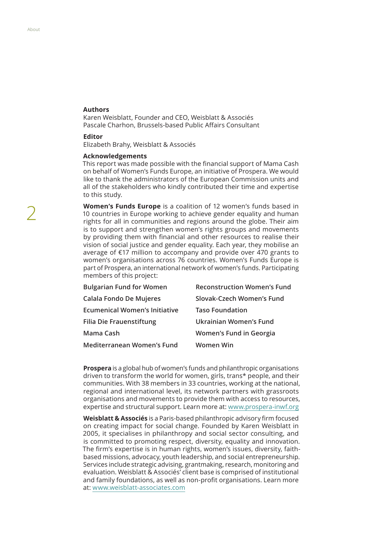### **Authors**

Karen Weisblatt, Founder and CEO, Weisblatt & Associés Pascale Charhon, Brussels-based Public Afairs Consultant

### **Editor**

Elizabeth Brahy, Weisblatt & Associés

#### **Acknowledgements**

This report was made possible with the fnancial support of Mama Cash on behalf of Women's Funds Europe, an initiative of Prospera. We would like to thank the administrators of the European Commission units and all of the stakeholders who kindly contributed their time and expertise to this study.

**Women's Funds Europe** is a coalition of 12 women's funds based in 10 countries in Europe working to achieve gender equality and human rights for all in communities and regions around the globe. Their aim is to support and strengthen women's rights groups and movements by providing them with fnancial and other resources to realise their vision of social justice and gender equality. Each year, they mobilise an average of €17 million to accompany and provide over 470 grants to women's organisations across 76 countries. Women's Funds Europe is part of Prospera, an international network of women's funds. Participating members of this project:

| <b>Bulgarian Fund for Women</b>      | <b>Reconstruction Women's Fund</b> |
|--------------------------------------|------------------------------------|
| Calala Fondo De Mujeres              | Slovak-Czech Women's Fund          |
| <b>Ecumenical Women's Initiative</b> | <b>Taso Foundation</b>             |
| <b>Filia Die Frauenstiftung</b>      | <b>Ukrainian Women's Fund</b>      |
| Mama Cash                            | Women's Fund in Georgia            |
| <b>Mediterranean Women's Fund</b>    | Women Win                          |

**Prospera** is a global hub of women's funds and philanthropic organisations driven to transform the world for women, girls, trans\* people, and their communities. With 38 members in 33 countries, working at the national, regional and international level, its network partners with grassroots organisations and movements to provide them with access to resources, expertise and structural support. Learn more at: www[.prospera-inwf.org](http://prospera-inwf.org)

**Weisblatt & Associés** is a Paris-based philanthropic advisory frm focused on creating impact for social change. Founded by Karen Weisblatt in 2005, it specialises in philanthropy and social sector consulting, and is committed to promoting respect, diversity, equality and innovation. The frm's expertise is in human rights, women's issues, diversity, faithbased missions, advocacy, youth leadership, and social entrepreneurship. Services include strategic advising, grantmaking, research, monitoring and evaluation. Weisblatt & Associés' client base is comprised of institutional and family foundations, as well as non-profit organisations. Learn more at: www.[weisblatt-associates.com](http://weisblatt-associates.com)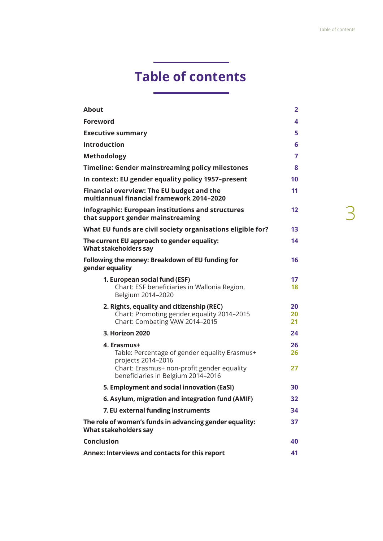## **Table of contents**

| <b>About</b>                                                                                                                                                           | $\overline{2}$ |
|------------------------------------------------------------------------------------------------------------------------------------------------------------------------|----------------|
| <b>Foreword</b>                                                                                                                                                        | 4              |
| <b>Executive summary</b>                                                                                                                                               | 5              |
| <b>Introduction</b>                                                                                                                                                    | 6              |
| <b>Methodology</b>                                                                                                                                                     | 7              |
| <b>Timeline: Gender mainstreaming policy milestones</b>                                                                                                                | 8              |
| In context: EU gender equality policy 1957-present                                                                                                                     | 10             |
| Financial overview: The EU budget and the<br>multiannual financial framework 2014-2020                                                                                 | 11             |
| <b>Infographic: European institutions and structures</b><br>that support gender mainstreaming                                                                          | 12             |
| What EU funds are civil society organisations eligible for?                                                                                                            | 13             |
| The current EU approach to gender equality:<br><b>What stakeholders say</b>                                                                                            | 14             |
| Following the money: Breakdown of EU funding for<br>gender equality                                                                                                    | 16             |
| 1. European social fund (ESF)<br>Chart: ESF beneficiaries in Wallonia Region,<br>Belgium 2014-2020                                                                     | 17<br>18       |
| 2. Rights, equality and citizenship (REC)<br>Chart: Promoting gender equality 2014-2015<br>Chart: Combating VAW 2014-2015                                              | 20<br>20<br>21 |
| 3. Horizon 2020                                                                                                                                                        | 24             |
| 4. Erasmus+<br>Table: Percentage of gender equality Erasmus+<br>projects 2014-2016<br>Chart: Erasmus+ non-profit gender equality<br>beneficiaries in Belgium 2014-2016 | 26<br>26<br>27 |
| 5. Employment and social innovation (EaSI)                                                                                                                             | 30             |
| 6. Asylum, migration and integration fund (AMIF)                                                                                                                       | 32             |
| 7. EU external funding instruments                                                                                                                                     | 34             |
| The role of women's funds in advancing gender equality:<br>What stakeholders say                                                                                       | 37             |
| <b>Conclusion</b>                                                                                                                                                      | 40             |
| Annex: Interviews and contacts for this report                                                                                                                         | 41             |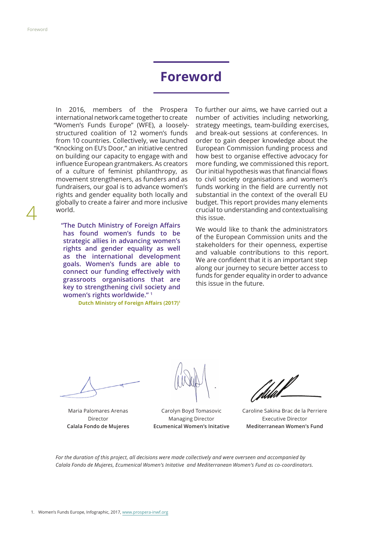4

## **Foreword**

In 2016, members of the Prospera international network came together to create "Women's Funds Europe" (WFE), a looselystructured coalition of 12 women's funds from 10 countries. Collectively, we launched "Knocking on EU's Door," an initiative centred on building our capacity to engage with and infuence European grantmakers. As creators of a culture of feminist philanthropy, as movement strengtheners, as funders and as fundraisers, our goal is to advance women's rights and gender equality both locally and globally to create a fairer and more inclusive world.

**"The Dutch Ministry of Foreign Afairs has found women's funds to be strategic allies in advancing women's rights and gender equality as well as the international development goals. Women's funds are able to connect our funding efectively with grassroots organisations that are key to strengthening civil society and women's rights worldwide." 1**

**Dutch Ministry of Foreign Affairs (2017)<sup>1</sup>** 

To further our aims, we have carried out a number of activities including networking, strategy meetings, team-building exercises, and break-out sessions at conferences. In order to gain deeper knowledge about the European Commission funding process and how best to organise efective advocacy for more funding, we commissioned this report. Our initial hypothesis was that financial flows to civil society organisations and women's funds working in the field are currently not substantial in the context of the overall EU budget. This report provides many elements crucial to understanding and contextualising this issue.

We would like to thank the administrators of the European Commission units and the stakeholders for their openness, expertise and valuable contributions to this report. We are confident that it is an important step along our journey to secure better access to funds for gender equality in order to advance this issue in the future.

Maria Palomares Arenas Director **Calala Fondo de Mujeres**

Carolyn Boyd Tomasovic Managing Director **Ecumenical Women's Initative** 

Caroline Sakina Brac de la Perriere Executive Director **Mediterranean Women's Fund**

*For the duration of this project, all decisions were made collectively and were overseen and accompanied by Calala Fondo de Mujeres, Ecumenical Women's Initative and Mediterranean Women's Fund as co-coordinators.*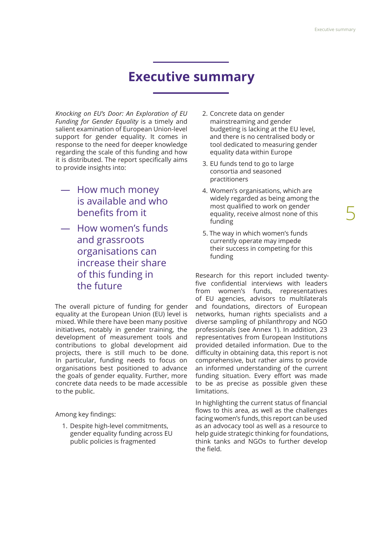## **Executive summary**

*Knocking on EU's Door: An Exploration of EU Funding for Gender Equality* is a timely and salient examination of European Union-level support for gender equality. It comes in response to the need for deeper knowledge regarding the scale of this funding and how it is distributed. The report specifically aims to provide insights into:

- ― How much money is available and who benefits from it
- ― How women's funds and grassroots organisations can increase their share of this funding in the future

The overall picture of funding for gender equality at the European Union (EU) level is mixed. While there have been many positive initiatives, notably in gender training, the development of measurement tools and contributions to global development aid projects, there is still much to be done. In particular, funding needs to focus on organisations best positioned to advance the goals of gender equality. Further, more concrete data needs to be made accessible to the public.

Among key findings:

1. Despite high-level commitments, gender equality funding across EU public policies is fragmented

- 2. Concrete data on gender mainstreaming and gender budgeting is lacking at the EU level, and there is no centralised body or tool dedicated to measuring gender equality data within Europe
- 3. EU funds tend to go to large consortia and seasoned practitioners
- 4. Women's organisations, which are widely regarded as being among the most qualifed to work on gender equality, receive almost none of this funding
- 5. The way in which women's funds currently operate may impede their success in competing for this funding

Research for this report included twentyfive confidential interviews with leaders from women's funds, representatives of EU agencies, advisors to multilaterals and foundations, directors of European networks, human rights specialists and a diverse sampling of philanthropy and NGO professionals (see Annex 1). In addition, 23 representatives from European Institutions provided detailed information. Due to the difficulty in obtaining data, this report is not comprehensive, but rather aims to provide an informed understanding of the current funding situation. Every effort was made to be as precise as possible given these limitations.

In highlighting the current status of fnancial flows to this area, as well as the challenges facing women's funds, this report can be used as an advocacy tool as well as a resource to help guide strategic thinking for foundations, think tanks and NGOs to further develop the field.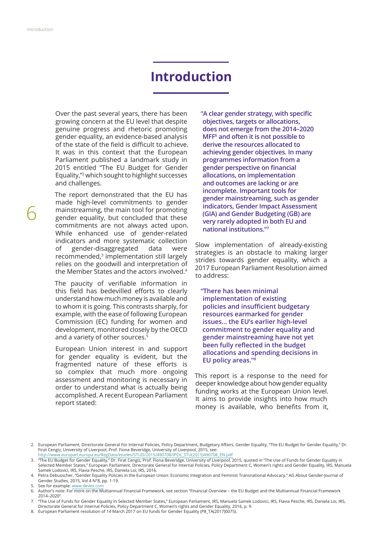## **Introduction**

Over the past several years, there has been growing concern at the EU level that despite genuine progress and rhetoric promoting gender equality, an evidence-based analysis of the state of the field is difficult to achieve. It was in this context that the European Parliament published a landmark study in 2015 entitled "The EU Budget for Gender Equality,"2 which sought to highlight successes and challenges.

The report demonstrated that the EU has made high-level commitments to gender mainstreaming, the main tool for promoting gender equality, but concluded that these commitments are not always acted upon. While enhanced use of gender-related indicators and more systematic collection of gender-disaggregated data were recommended,<sup>3</sup> implementation still largely relies on the goodwill and interpretation of the Member States and the actors involved.4

The paucity of verifable information in this field has bedevilled efforts to clearly understand how much money is available and to whom it is going. This contrasts sharply, for example, with the ease of following European Commission (EC) funding for women and development, monitored closely by the OECD and a variety of other sources.<sup>5</sup>

European Union interest in and support for gender equality is evident, but the fragmented nature of these efforts is so complex that much more ongoing assessment and monitoring is necessary in order to understand what is actually being accomplished. A recent European Parliament report stated:

**"A clear gender strategy, with specifc objectives, targets or allocations, does not emerge from the 2014–2020 MFF6 and often it is not possible to derive the resources allocated to achieving gender objectives. In many programmes information from a gender perspective on fnancial allocations, on implementation and outcomes are lacking or are incomplete. Important tools for gender mainstreaming, such as gender indicators, Gender Impact Assessment (GIA) and Gender Budgeting (GB) are very rarely adopted in both EU and national institutions."7**

Slow implementation of already-existing strategies is an obstacle to making larger strides towards gender equality, which a 2017 European Parliament Resolution aimed to address:

**"There has been minimal implementation of existing**  policies and insufficient budgetary **resources earmarked for gender issues… the EU's earlier high-level commitment to gender equality and gender mainstreaming have not yet been fully refected in the budget allocations and spending decisions in EU policy areas."8**

This report is a response to the need for deeper knowledge about how gender equality funding works at the European Union level. It aims to provide insights into how much money is available, who benefits from it,

8. European Parliament resolution of 14 March 2017 on EU funds for Gender Equality (P8\_TA(2017)0075).

<sup>2.</sup> European Parliament, Directorate General For Internal Policies, Policy Department, Budgetary Affairs, Gender Equality, "The EU Budget for Gender Equality," Dr. Firat Cengiz, University of Liverpool, Prof. Fiona Beveridge, University of Liverpool, 2015, see:

[http://www.europarl.europa.eu/RegData/etudes/STUD/2015/490708/IPOL\\_STU\(2015\)490708\\_EN.pdf](http://www.europarl.europa.eu/RegData/etudes/STUD/2015/490708/IPOL_STU(2015)490708_EN.pdf) 3. "The EU Budget for Gender Equality," Dr. Firat Cengiz, Prof. Fiona Beveridge, University of Liverpool, 2015, quoted in "The Use of Funds for Gender Equality in

Selected Member States," European Parliament, Directorate General for Internal Policies, Policy Department C, Women's rights and Gender Equality, IRS, Manuela Samek Lodovici, IRS, Flavia Pesche, IRS, Daniela Loi, IRS, 2016.

<sup>4.</sup> Petra Debusscher, "Gender Equality Policies in the European Union: Economic Integration and Feminist Transnational Advocacy," AG About Gender-Journal of Gender Studies, 2015, Vol 4 N°8, pp. 1-19.

<sup>5.</sup> See for example: [www.devex.com](http://www.devex.com)

<sup>6.</sup> Author's note: For more on the Multiannual Financial Framework, see section "Financial Overview – the EU Budget and the Multiannual Financial Framework 2014–2020".

<sup>7.</sup> "The Use of Funds for Gender Equality in Selected Member States," European Parliament, IRS, Manuela Samek Lodovici, IRS, Flavia Pesche, IRS, Daniela Loi, IRS, Directorate General for Internal Policies, Policy Department C, Women's rights and Gender Equality, 2016, p. 9.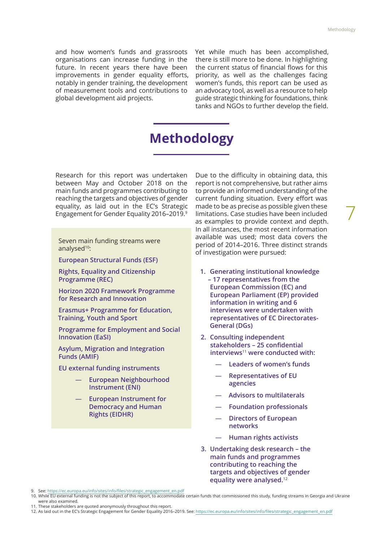7

and how women's funds and grassroots organisations can increase funding in the future. In recent years there have been improvements in gender equality efforts, notably in gender training, the development of measurement tools and contributions to global development aid projects.

Yet while much has been accomplished, there is still more to be done. In highlighting the current status of financial flows for this priority, as well as the challenges facing women's funds, this report can be used as an advocacy tool, as well as a resource to help guide strategic thinking for foundations, think tanks and NGOs to further develop the field.

## **Methodology**

Research for this report was undertaken between May and October 2018 on the main funds and programmes contributing to reaching the targets and objectives of gender equality, as laid out in the EC's Strategic Engagement for Gender Equality 2016–2019.9

Seven main funding streams were analysed<sup>10</sup>:

**European Structural Funds (ESF)**

**Rights, Equality and Citizenship Programme (REC)**

**Horizon 2020 Framework Programme for Research and Innovation**

**Erasmus+ Programme for Education, Training, Youth and Sport**

**Programme for Employment and Social Innovation (EaSI)**

**Asylum, Migration and Integration Funds (AMIF)**

**EU external funding instruments**

- ― **European Neighbourhood Instrument (ENI)**
- ― **European Instrument for Democracy and Human Rights (EIDHR)**

Due to the difficulty in obtaining data, this report is not comprehensive, but rather aims to provide an informed understanding of the current funding situation. Every effort was made to be as precise as possible given these limitations. Case studies have been included as examples to provide context and depth. In all instances, the most recent information available was used; most data covers the period of 2014–2016. Three distinct strands of investigation were pursued:

- **1. Generating institutional knowledge – 17 representatives from the European Commission (EC) and European Parliament (EP) provided information in writing and 6 interviews were undertaken with representatives of EC Directorates-General (DGs)**
- **2. Consulting independent stakeholders – 25 confdential interviews**<sup>11</sup> **were conducted with:**
	- ― **Leaders of women's funds**
	- ― **Representatives of EU agencies**
	- ― **Advisors to multilaterals**
	- ― **Foundation professionals**
	- ― **Directors of European networks**
	- ― **Human rights activists**
- **3. Undertaking desk research the main funds and programmes contributing to reaching the targets and objectives of gender equality were analysed.**<sup>12</sup>

- 11. These stakeholders are quoted anonymously throughout this report.
- 12. As laid out in the EC's Strategic Engagement for Gender Equality 2016–2019. See: [https://ec.europa.eu/info/sites/info/fles/strategic\\_engagement\\_en.pdf](https://ec.europa.eu/info/sites/info/files/strategic_engagement_en.pdf)

<sup>9.</sup> See: [https://ec.europa.eu/info/sites/info/fles/strategic\\_engagement\\_en.pdf](https://ec.europa.eu/info/sites/info/files/strategic_engagement_en.pdf)

<sup>10.</sup> While EU external funding is not the subject of this report, to accommodate certain funds that commissioned this study, funding streams in Georgia and Ukraine were also examined.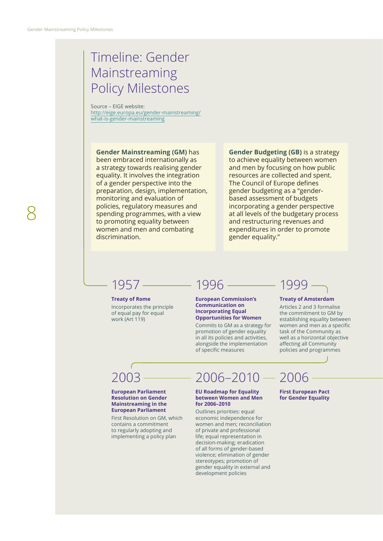## Timeline: Gender Mainstreaming Policy Milestones

Source – EIGE website: [http://eige.europa.eu/gender-mainstreaming/](http://eige.europa.eu/gender-mainstreaming/what-is-gender-mainstreaming) [what-is-gender-mainstreaming](http://eige.europa.eu/gender-mainstreaming/what-is-gender-mainstreaming)

## **Gender Mainstreaming (GM)** has

been embraced internationally as a strategy towards realising gender equality. It involves the integration of a gender perspective into the preparation, design, implementation, monitoring and evaluation of policies, regulatory measures and spending programmes, with a view to promoting equality between women and men and combating discrimination.

## **Gender Budgeting (GB)** is a strategy to achieve equality between women and men by focusing on how public resources are collected and spent. The Council of Europe defnes gender budgeting as a "genderbased assessment of budgets incorporating a gender perspective at all levels of the budgetary process and restructuring revenues and expenditures in order to promote gender equality."

## 1957

**Treaty of Rome** Incorporates the principle of equal pay for equal work (Art 119)

## 1996

**European Commission's Communication on Incorporating Equal Opportunities for Women**

Commits to GM as a strategy for promotion of gender equality in all its policies and activities, alongside the implementation of specific measures

## 1999

### **Treaty of Amsterdam**

Articles 2 and 3 formalise the commitment to GM by establishing equality between women and men as a specific task of the Community as well as a horizontal objective afecting all Community policies and programmes

## 2003

#### **European Parliament Resolution on Gender Mainstreaming in the European Parliament**

First Resolution on GM, which contains a commitment to regularly adopting and implementing a policy plan

## $2006 - 2010 -$ 2006

#### **EU Roadmap for Equality between Women and Men for 2006–2010**

Outlines priorities: equal economic independence for women and men; reconciliation of private and professional life; equal representation in decision-making; eradication of all forms of gender-based violence; elimination of gender stereotypes; promotion of gender equality in external and development policies

### **First European Pact for Gender Equality**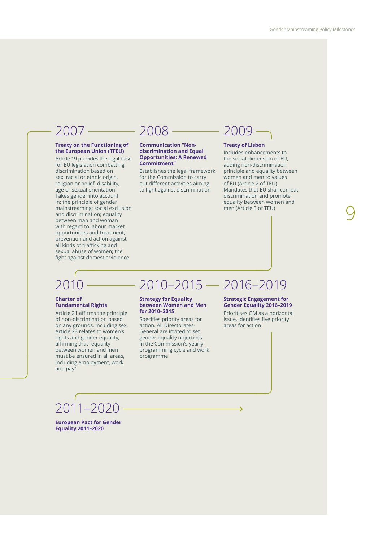9

### **Treaty on the Functioning of the European Union (TFEU)**

Article 19 provides the legal base for EU legislation combatting discrimination based on sex, racial or ethnic origin, religion or belief, disability, age or sexual orientation. Takes gender into account in: the principle of gender mainstreaming; social exclusion and discrimination; equality between man and woman with regard to labour market opportunities and treatment; prevention and action against all kinds of trafficking and sexual abuse of women; the fght against domestic violence

## $2007 - 2008$

#### **Communication "Nondiscrimination and Equal Opportunities: A Renewed Commitment"**

Establishes the legal framework for the Commission to carry out diferent activities aiming to fight against discrimination

## $-2009$

#### **Treaty of Lisbon**

Includes enhancements to the social dimension of EU, adding non-discrimination principle and equality between women and men to values of EU (Article 2 of TEU). Mandates that EU shall combat discrimination and promote equality between women and men (Article 3 of TEU)

## 2010

#### **Charter of Fundamental Rights**

Article 21 affirms the principle of non-discrimination based on any grounds, including sex. Article 23 relates to women's rights and gender equality, affirming that "equality between women and men must be ensured in all areas, including employment, work and pay"

## 2010–2015 2016–2019

#### **Strategy for Equality between Women and Men for 2010–2015**

Specifies priority areas for action. All Directorates-General are invited to set gender equality objectives in the Commission's yearly programming cycle and work programme

#### **Strategic Engagement for Gender Equality 2016–2019**

Prioritises GM as a horizontal issue, identifies five priority areas for action

2011–2020

**European Pact for Gender Equality 2011–2020**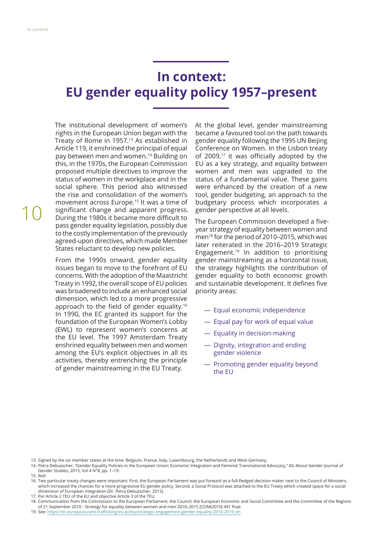## **In context: EU gender equality policy 1957–present**

The institutional development of women's rights in the European Union began with the Treaty of Rome in 1957.<sup>13</sup> As established in Article 119, it enshrined the principal of equal pay between men and women.14 Building on this, in the 1970s, the European Commission proposed multiple directives to improve the status of women in the workplace and in the social sphere. This period also witnessed the rise and consolidation of the women's movement across Europe.15 It was a time of significant change and apparent progress. During the 1980s it became more difficult to pass gender equality legislation, possibly due to the costly implementation of the previously agreed-upon directives, which made Member States reluctant to develop new policies.

From the 1990s onward, gender equality issues began to move to the forefront of EU concerns. With the adoption of the Maastricht Treaty in 1992, the overall scope of EU policies was broadened to include an enhanced social dimension, which led to a more progressive approach to the field of gender equality.<sup>16</sup> In 1990, the EC granted its support for the foundation of the European Women's Lobby (EWL) to represent women's concerns at the EU level. The 1997 Amsterdam Treaty enshrined equality between men and women among the EU's explicit objectives in all its activities, thereby entrenching the principle of gender mainstreaming in the EU Treaty.

At the global level, gender mainstreaming became a favoured tool on the path towards gender equality following the 1995 UN Beijing Conference on Women. In the Lisbon treaty of 2009, $17$  it was officially adopted by the EU as a key strategy, and equality between women and men was upgraded to the status of a fundamental value. These gains were enhanced by the creation of a new tool, gender budgeting, an approach to the budgetary process which incorporates a gender perspective at all levels.

The European Commission developed a fiveyear strategy of equality between women and men18 for the period of 2010–2015, which was later reiterated in the 2016–2019 Strategic Engagement.19 In addition to prioritising gender mainstreaming as a horizontal issue, the strategy highlights the contribution of gender equality to both economic growth and sustainable development. It defines five priority areas:

- ― Equal economic independence
- ― Equal pay for work of equal value
- ― Equality in decision-making
- ― Dignity, integration and ending gender violence
- ― Promoting gender equality beyond the EU

15. Ibid

16. Two particular treaty changes were important: First, the European Parliament was put forward as a full-fedged decision maker next to the Council of Ministers, which increased the chances for a more progressive EU gender policy. Second, a Social Protocol was attached to the EU Treaty which created space for a social dimension of European integration (Dr. Petra Debusscher, 2015).

17. Per Article 2 TEU of the EU and objective Article 3 of the TEU.

18. Communication from the Commission to the European Parliament, the Council, the European Economic and Social Committee and the Committee of the Regions of 21 September 2010 - Strategy for equality between women and men 2010–2015 [COM(2010) 491 fnal.

19. See: https://ec.europa.eu/anti-trafficking/eu-policy/strategic-engagement-gender-equality-2016-2019\_en

<sup>13.</sup> Signed by the six member states at the time: Belgium, France, Italy, Luxembourg, the Netherlands and West-Germany.

<sup>14.</sup> Petra Debusscher, "Gender Equality Policies in the European Union: Economic Integration and Feminist Transnational Advocacy," AG About Gender-Journal of Gender Studies, 2015, Vol 4 N°8, pp. 1–19.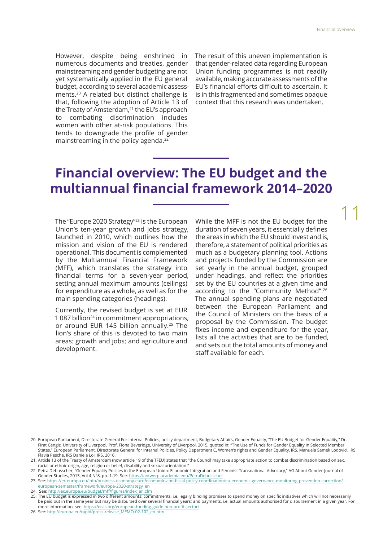11

However, despite being enshrined in numerous documents and treaties, gender mainstreaming and gender budgeting are not yet systematically applied in the EU general budget, according to several academic assessments.20 A related but distinct challenge is that, following the adoption of Article 13 of the Treaty of Amsterdam,<sup>21</sup> the EU's approach to combating discrimination includes women with other at-risk populations. This tends to downgrade the profle of gender mainstreaming in the policy agenda.<sup>2</sup>

The result of this uneven implementation is that gender-related data regarding European Union funding programmes is not readily available, making accurate assessments of the EU's financial efforts difficult to ascertain. It is in this fragmented and sometimes opaque context that this research was undertaken.

## **Financial overview: The EU budget and the multiannual fnancial framework 2014–2020**

The "Europe 2020 Strategy"23 is the European Union's ten-year growth and jobs strategy, launched in 2010, which outlines how the mission and vision of the EU is rendered operational. This document is complemented by the Multiannual Financial Framework (MFF), which translates the strategy into fnancial terms for a seven-year period, setting annual maximum amounts (ceilings) for expenditure as a whole, as well as for the main spending categories (headings).

Currently, the revised budget is set at EUR 1 087 billion<sup>24</sup> in commitment appropriations, or around EUR 145 billion annually.<sup>25</sup> The lion's share of this is devoted to two main areas: growth and jobs; and agriculture and development.

While the MFF is not the EU budget for the duration of seven years, it essentially defnes the areas in which the EU should invest and is, therefore, a statement of political priorities as much as a budgetary planning tool. Actions and projects funded by the Commission are set yearly in the annual budget, grouped under headings, and refect the priorities set by the EU countries at a given time and according to the "Community Method".26 The annual spending plans are negotiated between the European Parliament and the Council of Ministers on the basis of a proposal by the Commission. The budget fxes income and expenditure for the year, lists all the activities that are to be funded, and sets out the total amounts of money and staff available for each.

<sup>20.</sup> European Parliament, Directorate General For Internal Policies, policy department, Budgetary Afairs, Gender Equality, "The EU Budget for Gender Equality," Dr. Firat Cengiz, University of Liverpool, Prof. Fiona Beveridge, University of Liverpool, 2015, quoted in: "The Use of Funds for Gender Equality in Selected Member States," European Parliament, Directorate General for Internal Policies, Policy Department C, Women's rights and Gender Equality, IRS, Manuela Samek Lodovici, IRS Flavia Pesche, IRS Daniela Loi, IRS, 2016.

<sup>21.</sup> Article 13 of the Treaty of Amsterdam (now article 19 of the TFEU) states that "the Council may take appropriate action to combat discrimination based on sex, racial or ethnic origin, age, religion or belief, disability and sexual orientation."

<sup>22.</sup> Petra Debusscher, "Gender Equality Policies in the European Union: Economic Integration and Feminist Transnational Advocacy," AG About Gender-Journal of Gender Studies, 2015, Vol 4 N°8, pp. 1-19. See: https://antwerp.academia.edu/PetraDebussche

<sup>23.</sup> See: [https://ec.europa.eu/info/business-economy-euro/economic-and-fscal-policy-coordination/eu-economic-governance-monitoring-prevention-correction/](https://ec.europa.eu/info/business-economy-euro/economic-and-fiscal-policy-coordination/eu-economic-governance-monitoring-prevention-correction/european-semester/framework/europe-2020-strategy_en) [european-semester/framework/europe-2020-strategy\\_en](https://ec.europa.eu/info/business-economy-euro/economic-and-fiscal-policy-coordination/eu-economic-governance-monitoring-prevention-correction/european-semester/framework/europe-2020-strategy_en)

<sup>24.</sup> See: [http://ec.europa.eu/budget/mf/fgures/index\\_en.cfm](http://ec.europa.eu/budget/mff/figures/index_en.cfm)

<sup>25.</sup> The EU budget is expressed in two different amounts: commitments, i.e. legally binding promises to spend money on specific initiatives which will not necessarily be paid out in the same year but may be disbursed over several fnancial years; and payments, i.e. actual amounts authorised for disbursement in a given year. For more information, see: [https://ecas.org/european-funding-guide-non-proft-sector/](https://ecas.org/european-funding-guide-non-profit-sector/)

<sup>26.</sup> See: [http://europa.eu/rapid/press-release\\_MEMO-02-102\\_en.htm](http://europa.eu/rapid/press-release_MEMO-02-102_en.htm)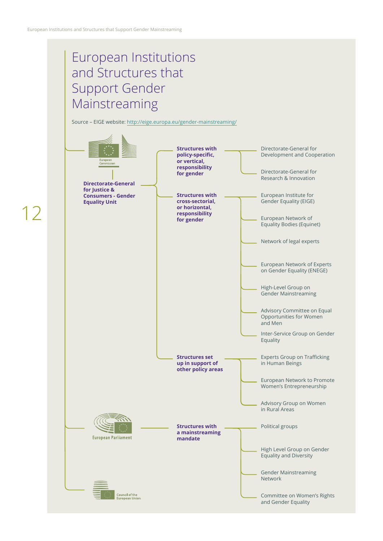## European Institutions and Structures that Support Gender Mainstreaming

Source – EIGE website:<http://eige.europa.eu/gender-mainstreaming/>

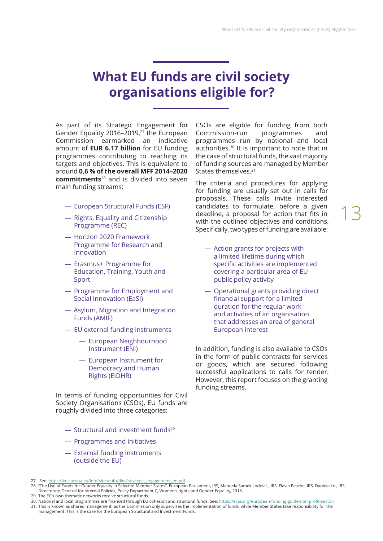## **What EU funds are civil society organisations eligible for?**

As part of its Strategic Engagement for Gender Equality 2016–2019,<sup>27</sup> the European Commission earmarked an indicative amount of **EUR 6.17 billion** for EU funding programmes contributing to reaching its targets and objectives. This is equivalent to around **0,6 % of the overall MFF 2014–2020 commitments**28 and is divided into seven main funding streams:

- ― European Structural Funds (ESF)
- ― Rights, Equality and Citizenship Programme (REC)
- ― Horizon 2020 Framework Programme for Research and Innovation
- ― Erasmus+ Programme for Education, Training, Youth and Sport
- ― Programme for Employment and Social Innovation (EaSI)
- ― Asylum, Migration and Integration Funds (AMIF)
- ― EU external funding instruments
	- ― European Neighbourhood Instrument (ENI)
	- ― European Instrument for Democracy and Human Rights (EIDHR)

In terms of funding opportunities for Civil Society Organisations (CSOs), EU funds are roughly divided into three categories:

- $-$  Structural and investment funds<sup>29</sup>
- ― Programmes and initiatives
- ― External funding instruments (outside the EU)

CSOs are eligible for funding from both Commission-run programmes and programmes run by national and local authorities.30 It is important to note that in the case of structural funds, the vast majority of funding sources are managed by Member States themselves.<sup>31</sup>

The criteria and procedures for applying for funding are usually set out in calls for proposals. These calls invite interested candidates to formulate, before a given deadline, a proposal for action that fits in with the outlined objectives and conditions. Specifically, two types of funding are available:

- ― Action grants for projects with a limited lifetime during which specific activities are implemented covering a particular area of EU public policy activity
- ― Operational grants providing direct fnancial support for a limited duration for the regular work and activities of an organisation that addresses an area of general European interest

In addition, funding is also available to CSOs in the form of public contracts for services or goods, which are secured following successful applications to calls for tender. However, this report focuses on the granting funding streams.

29. The EC's own thematic networks receive structural funds.

<sup>27.</sup> See: [https://ec.europa.eu/info/sites/info/fles/strategic\\_engagement\\_en.pdf](https://ec.europa.eu/info/sites/info/files/strategic_engagement_en.pdf)

<sup>28.</sup> "The Use of Funds for Gender Equality in Selected Member States", European Parliament, IRS, Manuela Samek Lodovici, IRS, Flavia Pesche, IRS, Daniela Loi, IRS, Directorate General for Internal Policies, Policy Department C, Women's rights and Gender Equality, 2016.

<sup>30.</sup> National and local programmes are fnanced through EU cohesion and structural funds. See: [https://ecas.org/european-funding-guide-non-proft-sector/](https://ecas.org/european-funding-guide-non-profit-sector/)

<sup>31.</sup> This is known as shared management, as the Commission only supervises the implementation of funds, while Member States take responsibility for the management. This is the case for the European Structural and Investment Funds.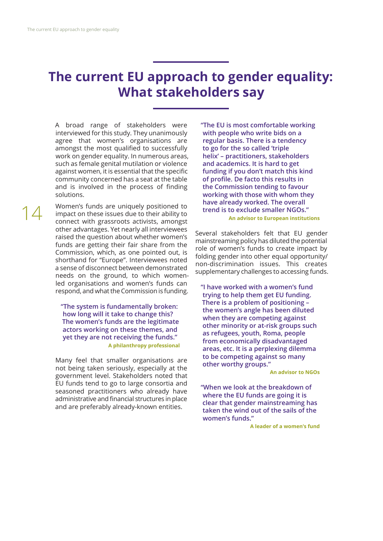## **The current EU approach to gender equality: What stakeholders say**

A broad range of stakeholders were interviewed for this study. They unanimously agree that women's organisations are amongst the most qualifed to successfully work on gender equality. In numerous areas, such as female genital mutilation or violence against women, it is essential that the specific community concerned has a seat at the table and is involved in the process of finding solutions.

Women's funds are uniquely positioned to impact on these issues due to their ability to connect with grassroots activists, amongst other advantages. Yet nearly all interviewees raised the question about whether women's funds are getting their fair share from the Commission, which, as one pointed out, is shorthand for "Europe". Interviewees noted a sense of disconnect between demonstrated needs on the ground, to which womenled organisations and women's funds can respond, and what the Commission is funding.

**"The system is fundamentally broken: how long will it take to change this? The women's funds are the legitimate actors working on these themes, and yet they are not receiving the funds." A philanthropy professional**

Many feel that smaller organisations are not being taken seriously, especially at the government level. Stakeholders noted that EU funds tend to go to large consortia and seasoned practitioners who already have administrative and financial structures in place and are preferably already-known entities.

**"The EU is most comfortable working with people who write bids on a regular basis. There is a tendency to go for the so called 'triple helix' – practitioners, stakeholders and academics. It is hard to get funding if you don't match this kind of profle. De facto this results in the Commission tending to favour working with those with whom they have already worked. The overall trend is to exclude smaller NGOs." An advisor to European institutions**

Several stakeholders felt that EU gender mainstreaming policy has diluted the potential role of women's funds to create impact by folding gender into other equal opportunity/ non-discrimination issues. This creates supplementary challenges to accessing funds.

**"I have worked with a women's fund trying to help them get EU funding. There is a problem of positioning – the women's angle has been diluted when they are competing against other minority or at-risk groups such as refugees, youth, Roma, people from economically disadvantaged areas, etc. It is a perplexing dilemma to be competing against so many other worthy groups."** 

**An advisor to NGOs**

**"When we look at the breakdown of where the EU funds are going it is clear that gender mainstreaming has taken the wind out of the sails of the women's funds."**

**A leader of a women's fund**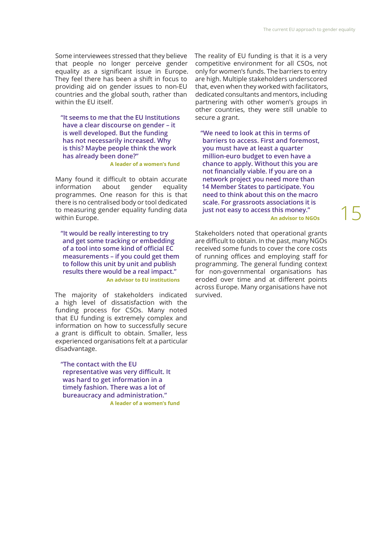Some interviewees stressed that they believe that people no longer perceive gender equality as a significant issue in Europe. They feel there has been a shift in focus to providing aid on gender issues to non-EU countries and the global south, rather than within the EU itself.

**"It seems to me that the EU Institutions have a clear discourse on gender – it is well developed. But the funding has not necessarily increased. Why is this? Maybe people think the work has already been done?"** 

**A leader of a women's fund**

Many found it difficult to obtain accurate information about gender equality programmes. One reason for this is that there is no centralised body or tool dedicated to measuring gender equality funding data within Europe.

**"It would be really interesting to try and get some tracking or embedding of a tool into some kind of official EC measurements – if you could get them to follow this unit by unit and publish results there would be a real impact." An advisor to EU institutions**

The majority of stakeholders indicated a high level of dissatisfaction with the funding process for CSOs. Many noted that EU funding is extremely complex and information on how to successfully secure a grant is difficult to obtain. Smaller, less experienced organisations felt at a particular disadvantage.

**"The contact with the EU**  representative was very difficult. It **was hard to get information in a timely fashion. There was a lot of bureaucracy and administration." A leader of a women's fund**  The reality of EU funding is that it is a very competitive environment for all CSOs, not only for women's funds. The barriers to entry are high. Multiple stakeholders underscored that, even when they worked with facilitators, dedicated consultants and mentors, including partnering with other women's groups in other countries, they were still unable to secure a grant.

**"We need to look at this in terms of barriers to access. First and foremost, you must have at least a quarter million-euro budget to even have a chance to apply. Without this you are not fnancially viable. If you are on a network project you need more than 14 Member States to participate. You need to think about this on the macro scale. For grassroots associations it is just not easy to access this money." An advisor to NGOs**

Stakeholders noted that operational grants are difficult to obtain. In the past, many NGOs received some funds to cover the core costs of running offices and employing staff for programming. The general funding context for non-governmental organisations has eroded over time and at diferent points across Europe. Many organisations have not survived.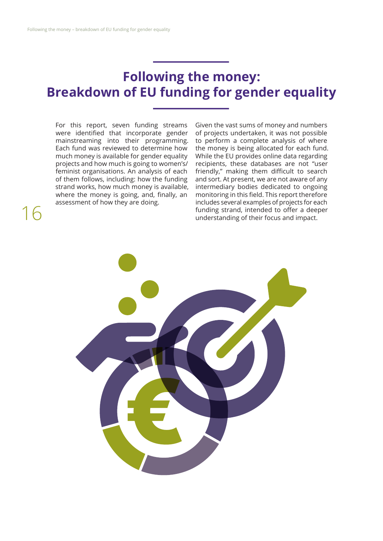## **Following the money: Breakdown of EU funding for gender equality**

For this report, seven funding streams were identifed that incorporate gender mainstreaming into their programming. Each fund was reviewed to determine how much money is available for gender equality projects and how much is going to women's/ feminist organisations. An analysis of each of them follows, including: how the funding strand works, how much money is available, where the money is going, and, finally, an assessment of how they are doing.

16

Given the vast sums of money and numbers of projects undertaken, it was not possible to perform a complete analysis of where the money is being allocated for each fund. While the EU provides online data regarding recipients, these databases are not "user friendly," making them difficult to search and sort. At present, we are not aware of any intermediary bodies dedicated to ongoing monitoring in this field. This report therefore includes several examples of projects for each funding strand, intended to offer a deeper understanding of their focus and impact.

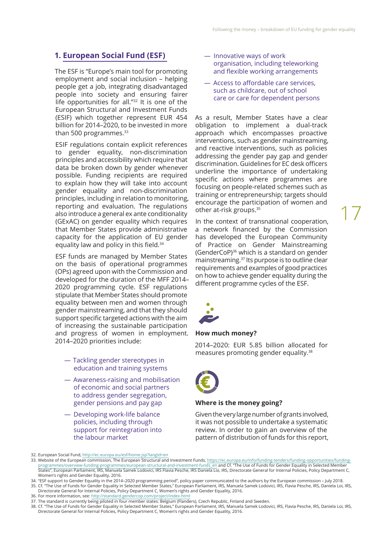## **1. European Social Fund (ESF)**

The ESF is "Europe's main tool for promoting employment and social inclusion – helping people get a job, integrating disadvantaged people into society and ensuring fairer life opportunities for all."32 It is one of the European Structural and Investment Funds (ESIF) which together represent EUR 454 billion for 2014–2020, to be invested in more than 500 programmes.<sup>33</sup>

ESIF regulations contain explicit references to gender equality, non-discrimination principles and accessibility which require that data be broken down by gender whenever possible. Funding recipients are required to explain how they will take into account gender equality and non-discrimination principles, including in relation to monitoring, reporting and evaluation. The regulations also introduce a general ex ante conditionality (GExAC) on gender equality which requires that Member States provide administrative capacity for the application of EU gender equality law and policy in this field.<sup>34</sup>

ESF funds are managed by Member States on the basis of operational programmes (OPs) agreed upon with the Commission and developed for the duration of the MFF 2014– 2020 programming cycle. ESF regulations stipulate that Member States should promote equality between men and women through gender mainstreaming, and that they should support specific targeted actions with the aim of increasing the sustainable participation and progress of women in employment. 2014–2020 priorities include:

- ― Tackling gender stereotypes in education and training systems
- ― Awareness-raising and mobilisation of economic and social partners to address gender segregation, gender pensions and pay gap
- ― Developing work-life balance policies, including through support for reintegration into the labour market
- ― Innovative ways of work organisation, including teleworking and flexible working arrangements
- ― Access to afordable care services, such as childcare, out of school care or care for dependent persons

As a result, Member States have a clear obligation to implement a dual-track approach which encompasses proactive interventions, such as gender mainstreaming, and reactive interventions, such as policies addressing the gender pay gap and gender discrimination. Guidelines for EC desk officers underline the importance of undertaking specific actions where programmes are focusing on people-related schemes such as training or entrepreneurship; targets should encourage the participation of women and other at-risk groups.35

In the context of transnational cooperation, a network financed by the Commission has developed the European Community of Practice on Gender Mainstreaming (GenderCoP)36 which is a standard on gender mainstreaming.37 Its purpose is to outline clear requirements and examples of good practices on how to achieve gender equality during the diferent programme cycles of the ESF.

17



### **How much money?**

2014–2020: EUR 5.85 billion allocated for measures promoting gender equality.38



### **Where is the money going?**

Given the very large number of grants involved, it was not possible to undertake a systematic review. In order to gain an overview of the pattern of distribution of funds for this report,

34. "ESF support to Gender Equality in the 2014–2020 programming period", policy paper communicated to the authors by the European commission – July 2018. 35. Cf. "The Use of Funds for Gender Equality in Selected Member States," European Parliament, IRS, Manuela Samek Lodovici, IRS, Flavia Pesche, IRS, Daniela Loi, IRS,

Directorate General for Internal Policies, Policy Department C, Women's rights and Gender Equality, 2016. 36. For more information, see: <http://standard.gendercop.com/project/index.html>

<sup>32.</sup> European Social Fund, <http://ec.europa.eu/esf/home.jsp?langId=en>

<sup>33.</sup> Website of the European commission, The European Structural and Investment Funds, [https://ec.europa.eu/info/funding-tenders/funding-opportunities/funding](https://ec.europa.eu/info/funding-tenders/funding-opportunities/funding-programmes/overview-funding-programmes/european-structural-and-investment-funds_en)[programmes/overview-funding-programmes/european-structural-and-investment-funds\\_en](https://ec.europa.eu/info/funding-tenders/funding-opportunities/funding-programmes/overview-funding-programmes/european-structural-and-investment-funds_en) and Cf. "The Use of Funds for Gender Equality in Selected Member States", European Parliament, IRS, Manuela Samek Lodovici, IRS Flavia Pesche, IRS Daniela Loi, IRS, Directorate General for Internal Policies, Policy Department C, Women's rights and Gender Equality, 2016.

<sup>37.</sup> The standard is currently being piloted in four member states: Belgium (Flanders), Czech Republic, Finland and Sweden.

<sup>38.</sup> Cf. "The Use of Funds for Gender Equality in Selected Member States," European Parliament, IRS, Manuela Samek Lodovici, IRS, Flavia Pesche, IRS, Daniela Loi, IRS, Directorate General for Internal Policies, Policy Department C, Women's rights and Gender Equality, 2016.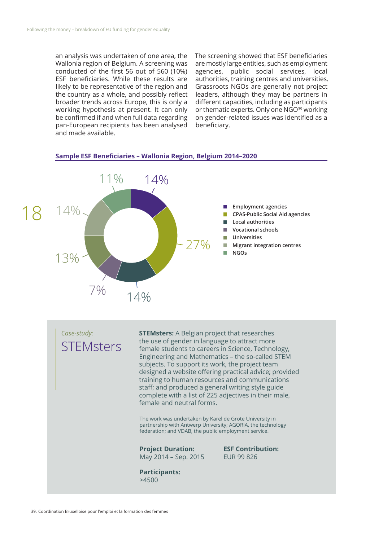an analysis was undertaken of one area, the Wallonia region of Belgium. A screening was conducted of the frst 56 out of 560 (10%) ESF beneficiaries. While these results are likely to be representative of the region and the country as a whole, and possibly refect broader trends across Europe, this is only a working hypothesis at present. It can only be confrmed if and when full data regarding pan-European recipients has been analysed and made available.

The screening showed that ESF beneficiaries are mostly large entities, such as employment agencies, public social services, local authorities, training centres and universities. Grassroots NGOs are generally not project leaders, although they may be partners in diferent capacities, including as participants or thematic experts. Only one NGO<sup>39</sup> working on gender-related issues was identifed as a beneficiary.

#### Sample ESF Beneficiaries - Wallonia Region, Belgium 2014-2020



*Case-study:*  **STEMsters**  **STEMsters:** A Belgian project that researches the use of gender in language to attract more female students to careers in Science, Technology, Engineering and Mathematics – the so-called STEM subjects. To support its work, the project team designed a website offering practical advice; provided training to human resources and communications staff; and produced a general writing style guide complete with a list of 225 adjectives in their male, female and neutral forms.

The work was undertaken by Karel de Grote University in partnership with Antwerp University; AGORIA, the technology federation; and VDAB, the public employment service.

**ESF Contribution:** 

EUR 99 826

## **Project Duration:**

May 2014 – Sep. 2015

**Participants:**  >4500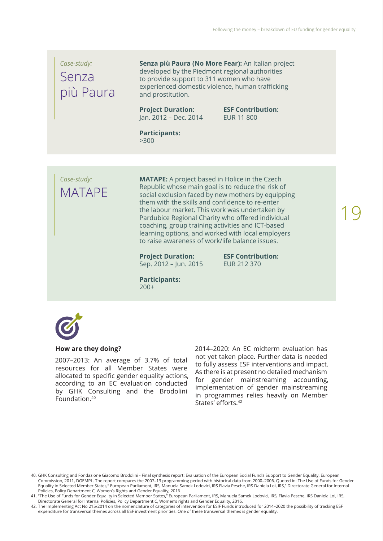## *Case-study:*  Senza più Paura

**Senza più Paura (No More Fear):** An Italian project developed by the Piedmont regional authorities to provide support to 311 women who have experienced domestic violence, human trafficking and prostitution.

### **Project Duration:**  Jan. 2012 – Dec. 2014

**ESF Contribution:**  EUR 11 800

**Participants:**  >300

*Case-study:*  MATAPE **MATAPE:** A project based in Holice in the Czech Republic whose main goal is to reduce the risk of social exclusion faced by new mothers by equipping them with the skills and confdence to re-enter the labour market. This work was undertaken by Pardubice Regional Charity who offered individual coaching, group training activities and ICT-based learning options, and worked with local employers to raise awareness of work/life balance issues.

**Project Duration:**  Sep. 2012 – Jun. 2015 **ESF Contribution:**  EUR 212 370

**Participants:**  200+



## **How are they doing?**

2007–2013: An average of 3.7% of total resources for all Member States were allocated to specific gender equality actions, according to an EC evaluation conducted by GHK Consulting and the Brodolini Foundation.40

2014–2020: An EC midterm evaluation has not yet taken place. Further data is needed to fully assess ESF interventions and impact. As there is at present no detailed mechanism for gender mainstreaming accounting, implementation of gender mainstreaming in programmes relies heavily on Member States' efforts.<sup>42</sup>

40. GHK Consulting and Fondazione Giacomo Brodolini - Final synthesis report: Evaluation of the European Social Fund's Support to Gender Equality, European Commission, 2011, DGEMPL. The report compares the 2007–13 programming period with historical data from 2000–2006. Quoted in: The Use of Funds for Gender Equality in Selected Member States," European Parliament, IRS, Manuela Samek Lodovici, IRS Flavia Pesche, IRS Daniela Loi, IRS," Directorate General for Internal Policies, Policy Department C, Women's Rights and Gender Equality, 2016

41. "The Use of Funds for Gender Equality in Selected Member States," European Parliament, IRS, Manuela Samek Lodovici, IRS, Flavia Pesche, IRS Daniela Loi, IRS, Directorate General for Internal Policies, Policy Department C, Women's rights and Gender Equality, 2016.

42. The Implementing Act No 215/2014 on the nomenclature of categories of intervention for ESIF Funds introduced for 2014–2020 the possibility of tracking ESF expenditure for transversal themes across all ESF investment priorities. One of these transversal themes is gender equality.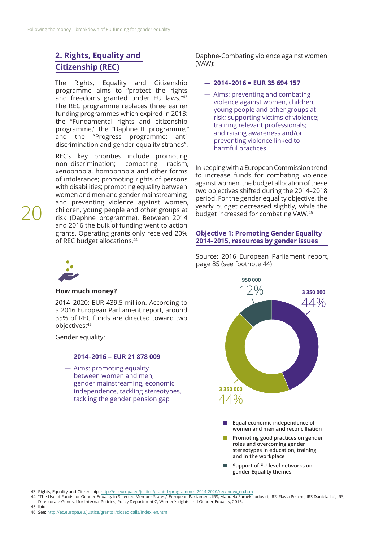## **2. Rights, Equality and Citizenship (REC)**

The Rights, Equality and Citizenship programme aims to "protect the rights and freedoms granted under EU laws."43 The REC programme replaces three earlier funding programmes which expired in 2013: the "Fundamental rights and citizenship programme," the "Daphne III programme," and the "Progress programme: antidiscrimination and gender equality strands".

REC's key priorities include promoting non–discrimination; combating racism, xenophobia, homophobia and other forms of intolerance; promoting rights of persons with disabilities; promoting equality between women and men and gender mainstreaming; and preventing violence against women, children, young people and other groups at risk (Daphne programme). Between 2014 and 2016 the bulk of funding went to action grants. Operating grants only received 20% of REC budget allocations.44

20

## **How much money?**

2014–2020: EUR 439.5 million. According to a 2016 European Parliament report, around 35% of REC funds are directed toward two objectives:45

Gender equality:

### ― **2014–2016 = EUR 21 878 009**

― Aims: promoting equality between women and men, gender mainstreaming, economic independence, tackling stereotypes, tackling the gender pension gap

Daphne-Combating violence against women (VAW):

### ― **2014–2016 = EUR 35 694 157**

― Aims: preventing and combating violence against women, children, young people and other groups at risk; supporting victims of violence; training relevant professionals; and raising awareness and/or preventing violence linked to harmful practices

In keeping with a European Commission trend to increase funds for combating violence against women, the budget allocation of these two objectives shifted during the 2014–2018 period. For the gender equality objective, the yearly budget decreased slightly, while the budget increased for combating VAW.46

### **Objective 1: Promoting Gender Equality 2014–2015, resources by gender issues**

Source: 2016 European Parliament report, page 85 (see footnote 44)



- **Promoting good practices on gender roles and overcoming gender stereotypes in education, training and in the workplace**
- $\Box$ **Support of EU-level networks on gender Equality themes**

43. Rights, Equality and Citizenship, [http://ec.europa.eu/justice/grants1/programmes-2014-2020/rec/index\\_en.htm](http://ec.europa.eu/justice/grants1/programmes-2014-2020/rec/index_en.htm)

- 44. "The Use of Funds for Gender Equality in Selected Member States," European Parliament, IRS, Manuela Samek Lodovici, IRS, Flavia Pesche, IRS Daniela Loi, IRS, Directorate General for Internal Policies, Policy Department C, Women's rights and Gender Equality, 2016.
- 45. Ibid.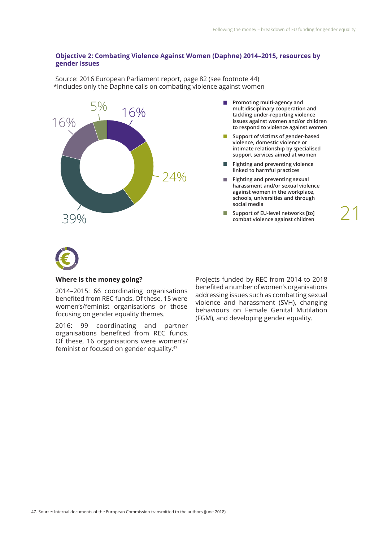## **Objective 2: Combating Violence Against Women (Daphne) 2014–2015, resources by gender issues**

Source: 2016 European Parliament report, page 82 (see footnote 44) \*Includes only the Daphne calls on combating violence against women

16% 39% 16% 5%  $74%$  **Promoting multi-agency and multidisciplinary cooperation and tackling under-reporting violence issues against women and/or children to respond to violence against women**

 $\mathcal{L}_{\mathcal{A}}$ **Support of victims of gender-based violence, domestic violence or intimate relationship by specialised support services aimed at women**

- **Fighting and preventing violence linked to harmful practices**
- **The State Fighting and preventing sexual harassment and/or sexual violence against women in the workplace, schools, universities and through social media**
- $\mathcal{L}_{\mathcal{A}}$ **Support of EU-level networks [to] combat violence against children**

21



## **Where is the money going?**

2014–2015: 66 coordinating organisations benefted from REC funds. Of these, 15 were women's/feminist organisations or those focusing on gender equality themes.

2016: 99 coordinating and partner organisations benefted from REC funds. Of these, 16 organisations were women's/ feminist or focused on gender equality.47

Projects funded by REC from 2014 to 2018 benefted a number of women's organisations addressing issues such as combatting sexual violence and harassment (SVH), changing behaviours on Female Genital Mutilation (FGM), and developing gender equality.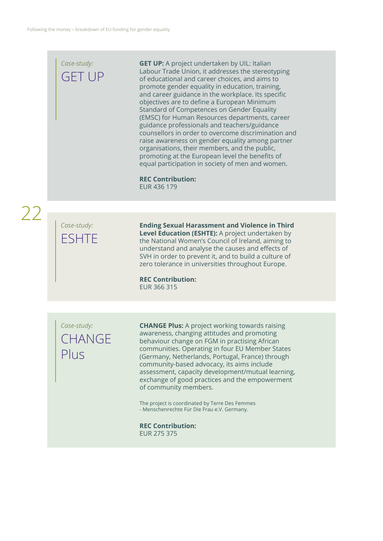## *Case-study:*  GET UP

**GET UP:** A project undertaken by UIL: Italian Labour Trade Union, it addresses the stereotyping of educational and career choices, and aims to promote gender equality in education, training, and career guidance in the workplace. Its specifc objectives are to defne a European Minimum Standard of Competences on Gender Equality (EMSC) for Human Resources departments, career guidance professionals and teachers/guidance counsellors in order to overcome discrimination and raise awareness on gender equality among partner organisations, their members, and the public, promoting at the European level the benefits of equal participation in society of men and women.

**REC Contribution:**  EUR 436 179

22

## *Case-study:*  ESHTE

**Ending Sexual Harassment and Violence in Third Level Education (ESHTE):** A project undertaken by the National Women's Council of Ireland, aiming to understand and analyse the causes and efects of SVH in order to prevent it, and to build a culture of zero tolerance in universities throughout Europe.

**REC Contribution:**  EUR 366 315

*Case-study:*  **CHANGE** Plus

**CHANGE Plus:** A project working towards raising awareness, changing attitudes and promoting behaviour change on FGM in practising African communities. Operating in four EU Member States (Germany, Netherlands, Portugal, France) through community-based advocacy, its aims include assessment, capacity development/mutual learning, exchange of good practices and the empowerment of community members.

The project is coordinated by Terre Des Femmes - Menschenrechte Für Die Frau e.V. Germany.

**REC Contribution:**  EUR 275 375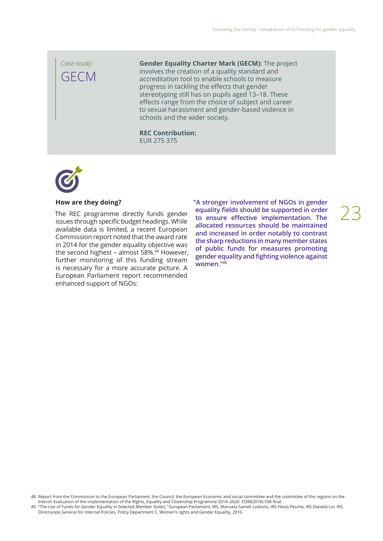*Case-study:*  GECM

**Gender Equality Charter Mark (GECM):** The project involves the creation of a quality standard and accreditation tool to enable schools to measure progress in tackling the efects that gender stereotyping still has on pupils aged 13–18. These efects range from the choice of subject and career to sexual harassment and gender-based violence in schools and the wider society.

**REC Contribution:**  EUR 275 375



### **How are they doing?**

The REC programme directly funds gender issues through specific budget headings. While available data is limited, a recent European Commission report noted that the award rate in 2014 for the gender equality objective was the second highest - almost 58%.<sup>48</sup> However, further monitoring of this funding stream is necessary for a more accurate picture. A European Parliament report recommended enhanced support of NGOs:

**"A stronger involvement of NGOs in gender equality felds should be supported in order to ensure efective implementation. The allocated resources should be maintained and increased in order notably to contrast the sharp reductions in many member states of public funds for measures promoting gender equality and fghting violence against women."49**

```
23
```
48. Report from the Commission to the European Parliament, the Council, the European Economic and social committee and the committee of the regions on the Interim Evaluation of the implementation of the Rights, Equality and Citizenship Programme 2014–2020- COM(2018) 508 fnal.

49. "The Use of Funds for Gender Equality in Selected Member States," European Parliament, IRS, Manuela Samek Lodovici, IRS Flavia Pesche, IRS Daniela Loi, IRS, Directorate General for Internal Policies, Policy Department C, Women's rights and Gender Equality, 2016.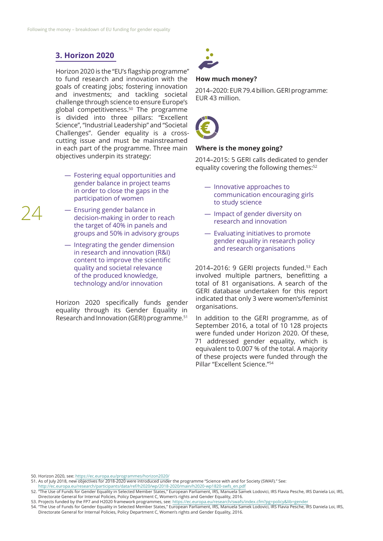## **3. Horizon 2020**

24

Horizon 2020 is the "EU's flagship programme" to fund research and innovation with the goals of creating jobs; fostering innovation and investments; and tackling societal challenge through science to ensure Europe's global competitiveness.50 The programme is divided into three pillars: "Excellent Science", "Industrial Leadership" and "Societal Challenges". Gender equality is a crosscutting issue and must be mainstreamed in each part of the programme. Three main objectives underpin its strategy:

- ― Fostering equal opportunities and gender balance in project teams in order to close the gaps in the participation of women
- ― Ensuring gender balance in decision-making in order to reach the target of 40% in panels and groups and 50% in advisory groups
- ― Integrating the gender dimension in research and innovation (R&I) content to improve the scientifc quality and societal relevance of the produced knowledge, technology and/or innovation

Horizon 2020 specifically funds gender equality through its Gender Equality in Research and Innovation (GERI) programme.51



## **How much money?**

2014–2020: EUR 79.4 billion. GERI programme: EUR 43 million.



## **Where is the money going?**

2014–2015: 5 GERI calls dedicated to gender equality covering the following themes:<sup>52</sup>

- ― Innovative approaches to communication encouraging girls to study science
- ― Impact of gender diversity on research and innovation
- ― Evaluating initiatives to promote gender equality in research policy and research organisations

2014-2016: 9 GERI projects funded.<sup>53</sup> Each involved multiple partners, benefitting a total of 81 organisations. A search of the GERI database undertaken for this report indicated that only 3 were women's/feminist organisations.

In addition to the GERI programme, as of September 2016, a total of 10 128 projects were funded under Horizon 2020. Of these, 71 addressed gender equality, which is equivalent to 0.007 % of the total. A majority of these projects were funded through the Pillar "Excellent Science."54

50. Horizon 2020, see:<https://ec.europa.eu/programmes/horizon2020/>

51. As of July 2018, new objectives for 2018-2020 were introduced under the programme "Science with and for Society (SWAF)." See: [http://ec.europa.eu/research/participants/data/ref/h2020/wp/2018-2020/main/h2020-wp1820-swfs\\_en.pdf](http://ec.europa.eu/research/participants/data/ref/h2020/wp/2018-2020/main/h2020-wp1820-swfs_en.pdf)

<sup>52.</sup> "The Use of Funds for Gender Equality in Selected Member States," European Parliament, IRS, Manuela Samek Lodovici, IRS Flavia Pesche, IRS Daniela Loi, IRS, Directorate General for Internal Policies, Policy Department C, Women's rights and Gender Equality, 2016.

<sup>53.</sup> Projects funded by the FP7 and H2020 framework programmes, see:<https://ec.europa.eu/research/swafs/index.cfm?pg=policy&lib=gender>

<sup>54.</sup> "The Use of Funds for Gender Equality in Selected Member States," European Parliament, IRS, Manuela Samek Lodovici, IRS Flavia Pesche, IRS Daniela Loi, IRS, Directorate General for Internal Policies, Policy Department C, Women's rights and Gender Equality, 2016.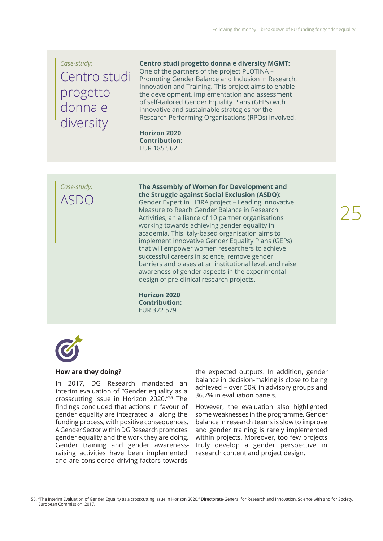## *Case-study:*  Centro studi progetto donna e diversity

**Centro studi progetto donna e diversity MGMT:**  One of the partners of the project PLOTINA – Promoting Gender Balance and Inclusion in Research, Innovation and Training. This project aims to enable the development, implementation and assessment of self-tailored Gender Equality Plans (GEPs) with innovative and sustainable strategies for the Research Performing Organisations (RPOs) involved.

**Horizon 2020 Contribution:**  EUR 185 562

*Case-study:*   $ASD$ 

**The Assembly of Women for Development and the Struggle against Social Exclusion (ASDO):**

Gender Expert in LIBRA project – Leading Innovative Measure to Reach Gender Balance in Research Activities, an alliance of 10 partner organisations working towards achieving gender equality in academia. This Italy-based organisation aims to implement innovative Gender Equality Plans (GEPs) that will empower women researchers to achieve successful careers in science, remove gender barriers and biases at an institutional level, and raise awareness of gender aspects in the experimental design of pre-clinical research projects.

**Horizon 2020 Contribution:**  EUR 322 579



## **How are they doing?**

In 2017, DG Research mandated an interim evaluation of "Gender equality as a crosscutting issue in Horizon 2020."55 The findings concluded that actions in favour of gender equality are integrated all along the funding process, with positive consequences. A Gender Sector within DG Research promotes gender equality and the work they are doing. Gender training and gender awarenessraising activities have been implemented and are considered driving factors towards

the expected outputs. In addition, gender balance in decision-making is close to being achieved – over 50% in advisory groups and 36.7% in evaluation panels.

However, the evaluation also highlighted some weaknesses in the programme. Gender balance in research teams is slow to improve and gender training is rarely implemented within projects. Moreover, too few projects truly develop a gender perspective in research content and project design.

55. "The Interim Evaluation of Gender Equality as a crosscutting issue in Horizon 2020," Directorate-General for Research and Innovation, Science with and for Society, European Commission, 2017.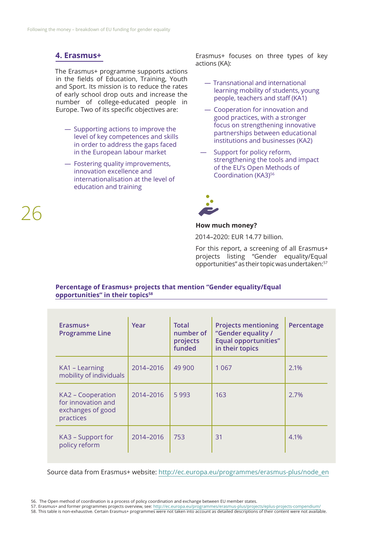## **4. Erasmus+**

26

The Erasmus+ programme supports actions in the fields of Education, Training, Youth and Sport. Its mission is to reduce the rates of early school drop outs and increase the number of college-educated people in Europe. Two of its specific objectives are:

- ― Supporting actions to improve the level of key competences and skills in order to address the gaps faced in the European labour market
- ― Fostering quality improvements, innovation excellence and internationalisation at the level of education and training

Erasmus+ focuses on three types of key actions (KA):

- ― Transnational and international learning mobility of students, young people, teachers and staff (KA1)
- ― Cooperation for innovation and good practices, with a stronger focus on strengthening innovative partnerships between educational institutions and businesses (KA2)
- Support for policy reform, strengthening the tools and impact of the EU's Open Methods of Coordination (KA3)<sup>56</sup>



## **How much money?**

2014–2020: EUR 14.77 billion.

For this report, a screening of all Erasmus+ projects listing "Gender equality/Equal opportunities" as their topic was undertaken:57

## **Percentage of Erasmus+ projects that mention "Gender equality/Equal opportunities" in their topics<sup>58</sup>**

| Erasmus+<br><b>Programme Line</b>                                         | Year      | <b>Total</b><br>number of<br>projects<br>funded | <b>Projects mentioning</b><br>"Gender equality /<br><b>Equal opportunities"</b><br>in their topics | Percentage |
|---------------------------------------------------------------------------|-----------|-------------------------------------------------|----------------------------------------------------------------------------------------------------|------------|
| KA1 - Learning<br>mobility of individuals                                 | 2014-2016 | 49 900                                          | 1 0 6 7                                                                                            | 2.1%       |
| KA2 – Cooperation<br>for innovation and<br>exchanges of good<br>practices | 2014-2016 | 5993                                            | 163                                                                                                | 2.7%       |
| KA3 – Support for<br>policy reform                                        | 2014-2016 | 753                                             | 31                                                                                                 | 4.1%       |

Source data from Erasmus+ website: [http://ec.europa.eu/programmes/erasmus-plus/node\\_en](http://ec.europa.eu/programmes/erasmus-plus/node_en)

- 57. Erasmus+ and former programmes projects overview, see:<http://ec.europa.eu/programmes/erasmus-plus/projects/eplus-projects-compendium/>
- 58. This table is non-exhaustive. Certain Erasmus+ programmes were not taken into account as detailed descriptions of their content were not available.

<sup>56.</sup> The Open method of coordination is a process of policy coordination and exchange between EU member states.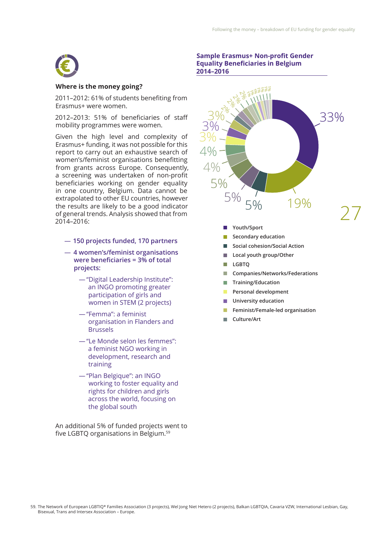

### **Where is the money going?**

2011–2012: 61% of students benefting from Erasmus+ were women.

2012–2013: 51% of beneficiaries of staff mobility programmes were women.

Given the high level and complexity of Erasmus+ funding, it was not possible for this report to carry out an exhaustive search of women's/feminist organisations beneftting from grants across Europe. Consequently, a screening was undertaken of non-proft beneficiaries working on gender equality in one country, Belgium. Data cannot be extrapolated to other EU countries, however the results are likely to be a good indicator of general trends. Analysis showed that from 2014–2016:

- ― **150 projects funded, 170 partners**
- ― **4 women's/feminist organisations were beneficiaries = 3% of total projects:**
	- ―"Digital Leadership Institute": an INGO promoting greater participation of girls and women in STEM (2 projects)
	- ―"Femma": a feminist organisation in Flanders and Brussels
	- ―"Le Monde selon les femmes": a feminist NGO working in development, research and training
	- ―"Plan Belgique": an INGO working to foster equality and rights for children and girls across the world, focusing on the global south

An additional 5% of funded projects went to five LGBTO organisations in Belgium.<sup>59</sup>

### **Sample Erasmus+ Non-proft Gender Equality Beneficiaries in Belgium 2014–2016**



- **Local youth group/Other**
- $\mathbf{r}$ **LGBTQ**
- **Tale Companies/Networks/Federations**
- **Training/Education**  m.
- **Personal development**   $\mathcal{L}_{\mathcal{A}}$
- **University education**
- **Feminist/Female-led organisation**
- **Culture/Art**

59. The Network of European LGBTIQ\* Families Association (3 projects), Wel Jong Niet Hetero (2 projects), Balkan LGBTQIA, Cavaria VZW, International Lesbian, Gay, Bisexual, Trans and Intersex Association – Europe.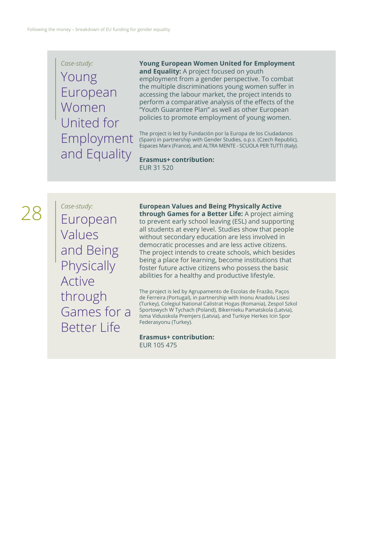*Case-study:*  Young European Women United for Employment and Equality

**Young European Women United for Employment and Equality:** A project focused on youth employment from a gender perspective. To combat the multiple discriminations young women suffer in accessing the labour market, the project intends to perform a comparative analysis of the effects of the "Youth Guarantee Plan" as well as other European policies to promote employment of young women.

The project is led by Fundación por la Europa de los Ciudadanos (Spain) in partnership with Gender Studies, o.p.s. (Czech Republic), Espaces Marx (France), and ALTRA MENTE - SCUOLA PER TUTTI (Italy).

**Erasmus+ contribution:**  EUR 31 520

28

*Case-study:*  European Values and Being **Physically** Active through Games for a Better Life

**European Values and Being Physically Active through Games for a Better Life:** A project aiming to prevent early school leaving (ESL) and supporting all students at every level. Studies show that people without secondary education are less involved in democratic processes and are less active citizens. The project intends to create schools, which besides being a place for learning, become institutions that foster future active citizens who possess the basic abilities for a healthy and productive lifestyle.

The project is led by Agrupamento de Escolas de Frazão, Paços de Ferreira (Portugal), in partnership with Inonu Anadolu Lisesi (Turkey), Colegiul National Calistrat Hogas (Romania), Zespol Szkol Sportowych W Tychach (Poland), Bikernieku Pamatskola (Latvia), Isma Vidusskola Premjers (Latvia), and Turkiye Herkes Icin Spor Federasyonu (Turkey).

### **Erasmus+ contribution:**  EUR 105 475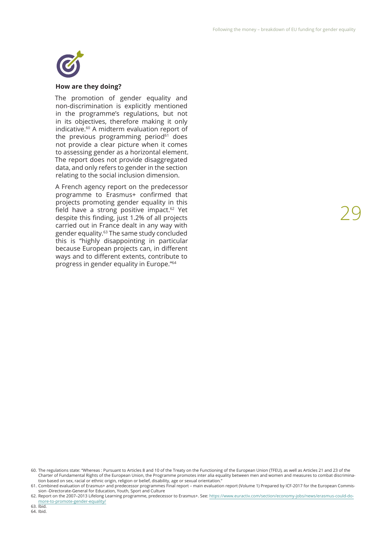

### **How are they doing?**

The promotion of gender equality and non-discrimination is explicitly mentioned in the programme's regulations, but not in its objectives, therefore making it only indicative.60 A midterm evaluation report of the previous programming period $61$  does not provide a clear picture when it comes to assessing gender as a horizontal element. The report does not provide disaggregated data, and only refers to gender in the section relating to the social inclusion dimension.

A French agency report on the predecessor programme to Erasmus+ confrmed that projects promoting gender equality in this field have a strong positive impact.<sup>62</sup> Yet despite this fnding, just 1.2% of all projects carried out in France dealt in any way with gender equality.63 The same study concluded this is "highly disappointing in particular because European projects can, in diferent ways and to diferent extents, contribute to progress in gender equality in Europe."64

64. Ibid.

<sup>60.</sup> The regulations state: "Whereas : Pursuant to Articles 8 and 10 of the Treaty on the Functioning of the European Union (TFEU), as well as Articles 21 and 23 of the Charter of Fundamental Rights of the European Union, the Programme promotes inter alia equality between men and women and measures to combat discrimination based on sex, racial or ethnic origin, religion or belief, disability, age or sexual orientation."

<sup>61.</sup> Combined evaluation of Erasmus+ and predecessor programmes Final report – main evaluation report (Volume 1) Prepared by ICF-2017 for the European Commission -Directorate-General for Education, Youth, Sport and Culture

<sup>62.</sup> Report on the 2007–2013 Lifelong Learning programme, predecessor to Erasmus+. See: https://www.euractiv.com/section/economy-jobs/news/erasmus-could-domore-to-promote-gender-equality/ 63. Ibid.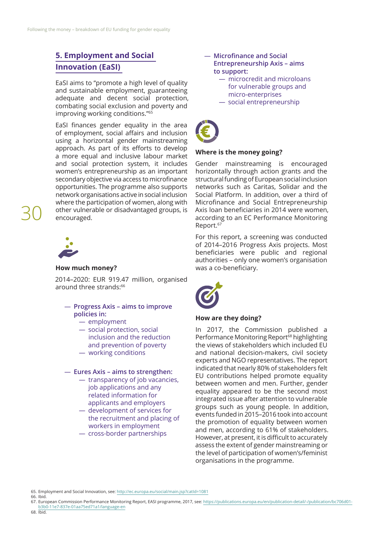## **5. Employment and Social Innovation (EaSI)**

EaSI aims to "promote a high level of quality and sustainable employment, guaranteeing adequate and decent social protection, combating social exclusion and poverty and improving working conditions."65

EaSI fnances gender equality in the area of employment, social affairs and inclusion using a horizontal gender mainstreaming approach. As part of its efforts to develop a more equal and inclusive labour market and social protection system, it includes women's entrepreneurship as an important secondary objective via access to microfinance opportunities. The programme also supports network organisations active in social inclusion where the participation of women, along with other vulnerable or disadvantaged groups, is encouraged.



30

## **How much money?**

2014–2020: EUR 919.47 million, organised around three strands:<sup>66</sup>

- ― **Progress Axis aims to improve policies in:**
	- ― employment
	- ― social protection, social inclusion and the reduction and prevention of poverty
	- ― working conditions

### ― **Eures Axis – aims to strengthen:**

- ― transparency of job vacancies, job applications and any related information for applicants and employers
- ― development of services for the recruitment and placing of workers in employment
- ― cross-border partnerships
- ― **Microfnance and Social Entrepreneurship Axis – aims to support:**
	- ― microcredit and microloans for vulnerable groups and micro-enterprises
	- ― social entrepreneurship



### **Where is the money going?**

Gender mainstreaming is encouraged horizontally through action grants and the structural funding of European social inclusion networks such as Caritas, Solidar and the Social Platform. In addition, over a third of Microfnance and Social Entrepreneurship Axis loan beneficiaries in 2014 were women, according to an EC Performance Monitoring Report.<sup>67</sup>

For this report, a screening was conducted of 2014–2016 Progress Axis projects. Most beneficiaries were public and regional authorities – only one women's organisation was a co-beneficiary.



### **How are they doing?**

In 2017, the Commission published a Performance Monitoring Report<sup>68</sup> highlighting the views of stakeholders which included EU and national decision-makers, civil society experts and NGO representatives. The report indicated that nearly 80% of stakeholders felt EU contributions helped promote equality between women and men. Further, gender equality appeared to be the second most integrated issue after attention to vulnerable groups such as young people. In addition, events funded in 2015–2016 took into account the promotion of equality between women and men, according to 61% of stakeholders. However, at present, it is difficult to accurately assess the extent of gender mainstreaming or the level of participation of women's/feminist organisations in the programme.

65. Employment and Social Innovation, see: <http://ec.europa.eu/social/main.jsp?catId=1081> 66. Ibid.

- 67. European Commission Performance Monitoring Report, EASI programme, 2017, see: [https://publications.europa.eu/en/publication-detail/-/publication/bc706d01-](https://publications.europa.eu/en/publication-detail/-/publication/bc706d01-b3b0-11e7-837e-01aa75ed71a1/language-en)
- [b3b0-11e7-837e-01aa75ed71a1/language-en](https://publications.europa.eu/en/publication-detail/-/publication/bc706d01-b3b0-11e7-837e-01aa75ed71a1/language-en) 68. Ibid.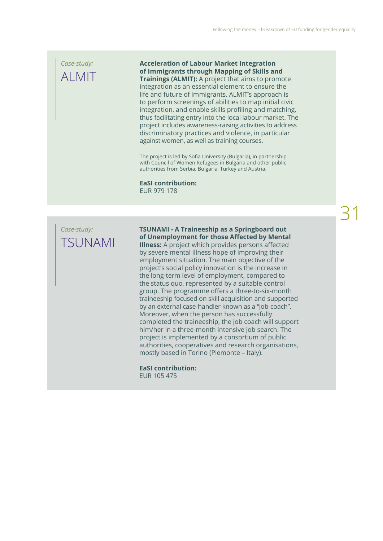## *Case-study:*  ALMIT

**Acceleration of Labour Market Integration of Immigrants through Mapping of Skills and Trainings (ALMIT):** A project that aims to promote integration as an essential element to ensure the life and future of immigrants. ALMIT's approach is to perform screenings of abilities to map initial civic integration, and enable skills profling and matching, thus facilitating entry into the local labour market. The project includes awareness-raising activities to address discriminatory practices and violence, in particular against women, as well as training courses.

The project is led by Sofia University (Bulgaria), in partnership with Council of Women Refugees in Bulgaria and other public authorities from Serbia, Bulgaria, Turkey and Austria.

**EaSI contribution:**  EUR 979 178

## *Case-study:*  TSUNAMI

**TSUNAMI - A Traineeship as a Springboard out of Unemployment for those Afected by Mental Illness:** A project which provides persons afected by severe mental illness hope of improving their employment situation. The main objective of the project's social policy innovation is the increase in the long-term level of employment, compared to the status quo, represented by a suitable control group. The programme offers a three-to-six-month traineeship focused on skill acquisition and supported by an external case-handler known as a "job-coach". Moreover, when the person has successfully completed the traineeship, the job coach will support him/her in a three-month intensive job search. The project is implemented by a consortium of public authorities, cooperatives and research organisations, mostly based in Torino (Piemonte – Italy).

**EaSI contribution:** EUR 105 475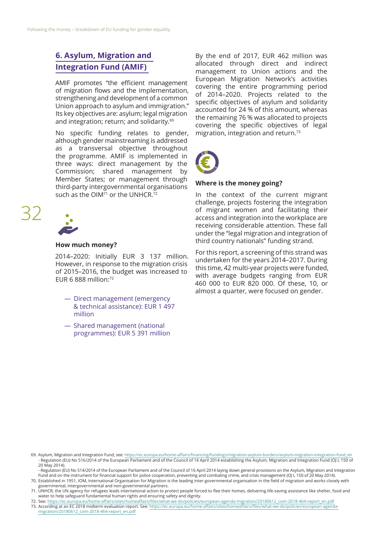## **6. Asylum, Migration and Integration Fund (AMIF)**

AMIF promotes "the efficient management of migration flows and the implementation, strengthening and development of a common Union approach to asylum and immigration." Its key objectives are: asylum; legal migration and integration; return; and solidarity.<sup>69</sup>

No specifc funding relates to gender, although gender mainstreaming is addressed as a transversal objective throughout the programme. AMIF is implemented in three ways: direct management by the Commission; shared management by Member States; or management through third-party intergovernmental organisations such as the OIM $^{\frac{1}{7}}$  or the UNHCR.<sup>72</sup>



32

### **How much money?**

2014–2020: Initially EUR 3 137 million. However, in response to the migration crisis of 2015–2016, the budget was increased to EUR 6 888 million:72

- ― Direct management (emergency & technical assistance): EUR 1 497 million
- ― Shared management (national programmes): EUR 5 391 million

By the end of 2017, EUR 462 million was allocated through direct and indirect management to Union actions and the European Migration Network's activities covering the entire programming period of 2014–2020. Projects related to the specific objectives of asylum and solidarity accounted for 24 % of this amount, whereas the remaining 76 % was allocated to projects covering the specifc objectives of legal migration, integration and return.73



## **Where is the money going?**

In the context of the current migrant challenge, projects fostering the integration of migrant women and facilitating their access and integration into the workplace are receiving considerable attention. These fall under the "legal migration and integration of third country nationals" funding strand.

For this report, a screening of this strand was undertaken for the years 2014–2017. During this time, 42 multi-year projects were funded, with average budgets ranging from EUR 460 000 to EUR 820 000. Of these, 10, or almost a quarter, were focused on gender.

<sup>69.</sup> Asylum, Migration and Integration Fund, see: https://ec.europa.eu/home-affairs/financing/fundings/migration-asylum-borders/asylum-migration-integration-fund\_en - Regulation (EU) No 516/2014 of the European Parliament and of the Council of 16 April 2014 establishing the Asylum, Migration and Integration Fund (OJ L 150 of 20 May 2014).

<sup>-</sup> Regulation (EU) No 514/2014 of the European Parliament and of the Council of 16 April 2014 laying down general provisions on the Asylum, Migration and Integration Fund and on the instrument for fnancial support for police cooperation, preventing and combating crime, and crisis management (OJ L 150 of 20 May 2014). 70. Established in 1951, IOM, International Organisation for Migration is the leading inter-governmental organisation in the feld of migration and works closely with

governmental, intergovernmental and non-governmental partners. 71. UNHCR, the UN agency for refugees leads international action to protect people forced to fee their homes, delivering life-saving assistance like shelter, food and water to help safeguard fundamental human rights and ensuring safety and dignity.

<sup>72.</sup> See: [https://ec.europa.eu/home-afairs/sites/homeafairs/fles/what-we-do/policies/european-agenda-migration/20180612\\_com-2018-464-report\\_en.pdf](https://ec.europa.eu/home-affairs/sites/homeaffairs/files/what-we-do/policies/european-agenda-migration/20180612_com-2018-464-report_en.pdf)

<sup>73.</sup> According at an EC 2018 midterm evaluation report. See: https://ec.europa.eu/home-affairs/sites/homeaffairs/files/what-we-do/policies/european-agenda[migration/20180612\\_com-2018-464-report\\_en.pdf](https://ec.europa.eu/home-affairs/sites/homeaffairs/files/what-we-do/policies/european-agenda-migration/20180612_com-2018-464-report_en.pdf)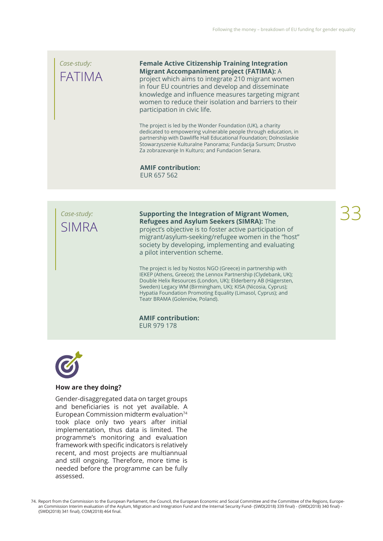## *Case-study:*  FATIMA

**Female Active Citizenship Training Integration Migrant Accompaniment project (FATIMA):** A

project which aims to integrate 210 migrant women in four EU countries and develop and disseminate knowledge and infuence measures targeting migrant women to reduce their isolation and barriers to their participation in civic life.

The project is led by the Wonder Foundation (UK), a charity dedicated to empowering vulnerable people through education, in partnership with Dawlife Hall Educational Foundation; Dolnoslaskie Stowarzyszenie Kulturalne Panorama; Fundacija Sursum; Drustvo Za zobrazevanje In Kulturo; and Fundacion Senara.

**AMIF contribution:**  EUR 657 562



**Supporting the Integration of Migrant Women, Refugees and Asylum Seekers (SIMRA):** The project's objective is to foster active participation of migrant/asylum-seeking/refugee women in the "host" society by developing, implementing and evaluating a pilot intervention scheme.

The project is led by Nostos NGO (Greece) in partnership with IEKEP (Athens, Greece); the Lennox Partnership (Clydebank, UK); Double Helix Resources (London, UK); Elderberry AB (Hägersten, Sweden) Legacy WM (Birmingham, UK); KISA (Nicosia, Cyprus); Hypatia Foundation Promoting Equality (Limasol, Cyprus); and Teatr BRAMA (Goleniów, Poland).

**AMIF contribution:**  EUR 979 178



### **How are they doing?**

Gender-disaggregated data on target groups and beneficiaries is not yet available. A European Commission midterm evaluation<sup>74</sup> took place only two years after initial implementation, thus data is limited. The programme's monitoring and evaluation framework with specific indicators is relatively recent, and most projects are multiannual and still ongoing. Therefore, more time is needed before the programme can be fully assessed.

74. Report from the Commission to the European Parliament, the Council, the European Economic and Social Committee and the Committee of the Regions, European Commission Interim evaluation of the Asylum, Migration and Integration Fund and the Internal Security Fund- {SWD(2018) 339 final} - {SWD(2018) 340 final} -{SWD(2018) 341 fnal}, COM(2018) 464 fnal.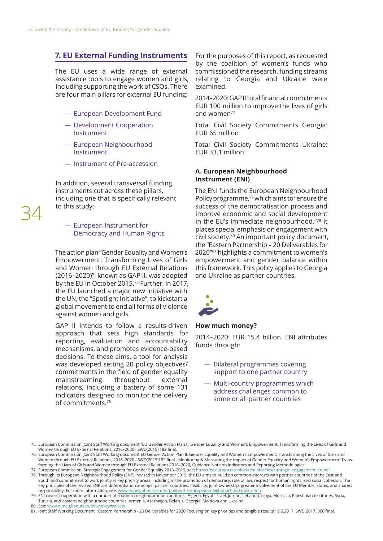## **7. EU External Funding Instruments**

The EU uses a wide range of external assistance tools to engage women and girls, including supporting the work of CSOs. There are four main pillars for external EU funding:

- ― European Development Fund
- ― Development Cooperation Instrument
- ― European Neighbourhood Instrument
- ― Instrument of Pre-accession

In addition, several transversal funding instruments cut across these pillars, including one that is specifically relevant to this study:

― European Instrument for Democracy and Human Rights

The action plan "Gender Equality and Women's Empowerment: Transforming Lives of Girls and Women through EU External Relations (2016–2020)", known as GAP II, was adopted by the EU in October 2015.75 Further, in 2017, the EU launched a major new initiative with the UN, the "Spotlight Initiative", to kickstart a global movement to end all forms of violence against women and girls.

GAP II intends to follow a results-driven approach that sets high standards for reporting, evaluation and accountability mechanisms, and promotes evidence-based decisions. To these aims, a tool for analysis was developed setting 20 policy objectives/ commitments in the field of gender equality mainstreaming throughout external relations, including a battery of some 131 indicators designed to monitor the delivery of commitments.76

For the purposes of this report, as requested by the coalition of women's funds who commissioned the research, funding streams relating to Georgia and Ukraine were examined.

2014–2020: GAP II total fnancial commitments EUR 100 million to improve the lives of girls and women<sup>77</sup>

Total Civil Society Commitments Georgia: EUR 65 million

Total Civil Society Commitments Ukraine: EUR 33.1 million

### **A. European Neighbourhood Instrument (ENI)**

The ENI funds the European Neighbourhood Policy programme,78 which aims to "ensure the success of the democratisation process and improve economic and social development in the EU's immediate neighbourhood."79 It places special emphasis on engagement with civil society.80 An important policy document, the "Eastern Partnership – 20 Deliverables for 2020"81 highlights a commitment to women's empowerment and gender balance within this framework. This policy applies to Georgia and Ukraine as partner countries.



### **How much money?**

2014–2020: EUR 15.4 billion. ENI attributes funds through:

- ― Bilateral programmes covering support to one partner country
- ― Multi-country programmes which address challenges common to some or all partner countries

key principles of the revised ENP are diferentiation amongst partner countries, fexibility, joint ownership, greater involvement of the EU Member States, and shared responsibility. For more information, see: [www.euneighbours.eu/en/policy#the-european-neighbourhood-policy-enp](http://www.euneighbours.eu/en/policy#the-european-neighbourhood-policy-enp)

79. ENI covers cooperation with a number of southern neighbourhood countries.: Algeria, Egypt, Israel, Jordan, Lebanon, Libya, Morocco, Palestinian territories, Syria, Tunisia, and eastern neighbourhood countries: Armenia, Azerbaijan, Belarus, Georgia, Moldova and Ukraine.

80. See: [www.euneighbours.eu/en/policy#society](http://www.euneighbours.eu/en/policy#society)

<sup>75.</sup> European Commission, Joint Staf Working document "EU Gender Action Plan II, Gender Equality and Women's Empowerment: Transforming the Lives of Girls and Women through EU External Relations, 2016–2020 - SWD(2015) 182 fnal.

<sup>76.</sup> European Commission, Joint Staf Working document EU Gender Action Plan II, Gender Equality and Women's Empowerment: Transforming the Lives of Girls and Women through EU External Relations, 2016–2020 - SWD(2015)182 fnal - Monitoring & Measuring the Impact of Gender Equality and Women's Empowerment: Transforming the Lives of Girls and Women through EU External Relations 2016–2020, Guidance Note on Indicators and Reporting Methodologies.

<sup>77.</sup> European Commission, Strategic Engagement for Gender Equality 2016–2019, see: [https://ec.europa.eu/info/sites/info/fles/strategic\\_engagement\\_en.pdf](https://ec.europa.eu/info/sites/info/files/strategic_engagement_en.pdf) 78. Through its European Neighbourhood Policy (ENP), revised in November 2015, the EU aims to build on common interests with partner countries of the East and South and commitment to work jointly in key priority areas, including in the promotion of democracy, rule of law, respect for human rights, and social cohesion. The

<sup>81.</sup> Joint Staff Working Document, "Eastern Partnership - 20 Deliverables for 2020 Focusing on key priorities and tangible results," 9.6.2017, SWD(2017) 300 final.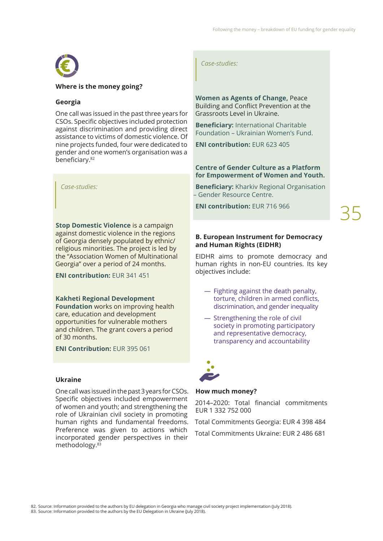

## **Where is the money going?**

## **Georgia**

One call was issued in the past three years for CSOs. Specific objectives included protection against discrimination and providing direct assistance to victims of domestic violence. Of nine projects funded, four were dedicated to gender and one women's organisation was a beneficiary.<sup>82</sup>

*Case-studies:*

**Stop Domestic Violence** is a campaign against domestic violence in the regions of Georgia densely populated by ethnic/ religious minorities. The project is led by the "Association Women of Multinational Georgia" over a period of 24 months.

**ENI contribution:** EUR 341 451

### **Kakheti Regional Development**

**Foundation** works on improving health care, education and development opportunities for vulnerable mothers and children. The grant covers a period of 30 months.

**ENI Contribution:** EUR 395 061

## **Ukraine**

One call was issued in the past 3 years for CSOs. Specific objectives included empowerment of women and youth; and strengthening the role of Ukrainian civil society in promoting human rights and fundamental freedoms. Preference was given to actions which incorporated gender perspectives in their methodology.83

*Case-studies:*

**Women as Agents of Change,** Peace Building and Confict Prevention at the Grassroots Level in Ukraine.

**Beneficiary:** International Charitable Foundation – Ukrainian Women's Fund.

**ENI contribution:** EUR 623 405

**Centre of Gender Culture as a Platform for Empowerment of Women and Youth.**

**Beneficiary:** Kharkiv Regional Organisation – Gender Resource Centre.

**ENI contribution:** EUR 716 966

35

## **B. European Instrument for Democracy and Human Rights (EIDHR)**

EIDHR aims to promote democracy and human rights in non-EU countries. Its key objectives include:

- ― Fighting against the death penalty, torture, children in armed conficts, discrimination, and gender inequality
- ― Strengthening the role of civil society in promoting participatory and representative democracy, transparency and accountability



### **How much money?**

2014–2020: Total fnancial commitments EUR 1 332 752 000

Total Commitments Georgia: EUR 4 398 484

Total Commitments Ukraine: EUR 2 486 681

82. Source: Information provided to the authors by EU delegation in Georgia who manage civil society project implementation (July 2018).

<sup>83.</sup> Source: Information provided to the authors by the EU Delegation in Ukraine (July 2018).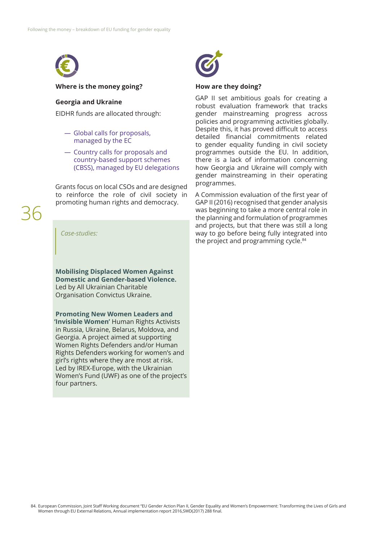

#### **Where is the money going?**

## **Georgia and Ukraine**

EIDHR funds are allocated through:

- ― Global calls for proposals, managed by the EC
- ― Country calls for proposals and country-based support schemes (CBSS), managed by EU delegations

Grants focus on local CSOs and are designed to reinforce the role of civil society in promoting human rights and democracy.

36

### *Case-studies:*

**Mobilising Displaced Women Against Domestic and Gender-based Violence.** Led by All Ukrainian Charitable Organisation Convictus Ukraine.

**Promoting New Women Leaders and 'Invisible Women'** Human Rights Activists in Russia, Ukraine, Belarus, Moldova, and Georgia. A project aimed at supporting Women Rights Defenders and/or Human Rights Defenders working for women's and girl's rights where they are most at risk. Led by IREX-Europe, with the Ukrainian Women's Fund (UWF) as one of the project's four partners.



### **How are they doing?**

GAP II set ambitious goals for creating a robust evaluation framework that tracks gender mainstreaming progress across policies and programming activities globally. Despite this, it has proved difficult to access detailed fnancial commitments related to gender equality funding in civil society programmes outside the EU. In addition, there is a lack of information concerning how Georgia and Ukraine will comply with gender mainstreaming in their operating programmes.

A Commission evaluation of the frst year of GAP II (2016) recognised that gender analysis was beginning to take a more central role in the planning and formulation of programmes and projects, but that there was still a long way to go before being fully integrated into the project and programming cycle.<sup>84</sup>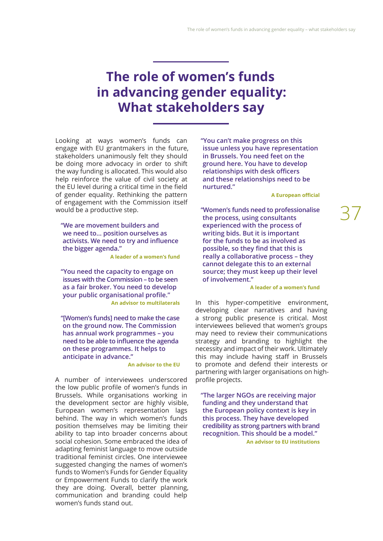## **The role of women's funds in advancing gender equality: What stakeholders say**

Looking at ways women's funds can engage with EU grantmakers in the future, stakeholders unanimously felt they should be doing more advocacy in order to shift the way funding is allocated. This would also help reinforce the value of civil society at the EU level during a critical time in the field of gender equality. Rethinking the pattern of engagement with the Commission itself would be a productive step.

**"We are movement builders and we need to… position ourselves as activists. We need to try and infuence the bigger agenda."**

**A leader of a women's fund** 

**"You need the capacity to engage on issues with the Commission – to be seen as a fair broker. You need to develop your public organisational profle." An advisor to multilaterals**

**"[Women's funds] need to make the case on the ground now. The Commission has annual work programmes – you need to be able to infuence the agenda on these programmes. It helps to anticipate in advance."**

### **An advisor to the EU**

A number of interviewees underscored the low public profle of women's funds in Brussels. While organisations working in the development sector are highly visible, European women's representation lags behind. The way in which women's funds position themselves may be limiting their ability to tap into broader concerns about social cohesion. Some embraced the idea of adapting feminist language to move outside traditional feminist circles. One interviewee suggested changing the names of women's funds to Women's Funds for Gender Equality or Empowerment Funds to clarify the work they are doing. Overall, better planning, communication and branding could help women's funds stand out.

**"You can't make progress on this issue unless you have representation in Brussels. You need feet on the ground here. You have to develop relationships with desk officers and these relationships need to be nurtured."**

### **A European official**

**"Women's funds need to professionalise the process, using consultants experienced with the process of writing bids. But it is important for the funds to be as involved as possible, so they fnd that this is really a collaborative process – they cannot delegate this to an external source; they must keep up their level of involvement."**

### **A leader of a women's fund**

In this hyper-competitive environment, developing clear narratives and having a strong public presence is critical. Most interviewees believed that women's groups may need to review their communications strategy and branding to highlight the necessity and impact of their work. Ultimately this may include having staff in Brussels to promote and defend their interests or partnering with larger organisations on highprofile projects.

**"The larger NGOs are receiving major funding and they understand that the European policy context is key in this process. They have developed credibility as strong partners with brand recognition. This should be a model." An advisor to EU institutions**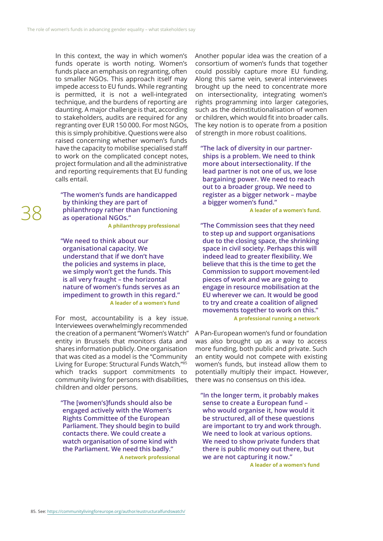In this context, the way in which women's funds operate is worth noting. Women's funds place an emphasis on regranting, often to smaller NGOs. This approach itself may impede access to EU funds. While regranting is permitted, it is not a well-integrated technique, and the burdens of reporting are daunting. A major challenge is that, according to stakeholders, audits are required for any regranting over EUR 150 000. For most NGOs, this is simply prohibitive. Questions were also raised concerning whether women's funds have the capacity to mobilise specialised staf to work on the complicated concept notes, project formulation and all the administrative and reporting requirements that EU funding calls entail.

**"The women's funds are handicapped by thinking they are part of philanthropy rather than functioning as operational NGOs."**

**A philanthropy professional**

**"We need to think about our organisational capacity. We understand that if we don't have the policies and systems in place, we simply won't get the funds. This is all very fraught – the horizontal nature of women's funds serves as an impediment to growth in this regard." A leader of a women's fund**

For most, accountability is a key issue. Interviewees overwhelmingly recommended the creation of a permanent "Women's Watch" entity in Brussels that monitors data and shares information publicly. One organisation that was cited as a model is the "Community Living for Europe: Structural Funds Watch,"85 which tracks support commitments to community living for persons with disabilities, children and older persons.

**"The [women's]funds should also be engaged actively with the Women's Rights Committee of the European Parliament. They should begin to build contacts there. We could create a watch organisation of some kind with the Parliament. We need this badly." A network professional** 

Another popular idea was the creation of a consortium of women's funds that together could possibly capture more EU funding. Along this same vein, several interviewees brought up the need to concentrate more on intersectionality, integrating women's rights programming into larger categories, such as the deinstitutionalisation of women or children, which would fit into broader calls. The key notion is to operate from a position of strength in more robust coalitions.

**"The lack of diversity in our partnerships is a problem. We need to think more about intersectionality. If the lead partner is not one of us, we lose bargaining power. We need to reach out to a broader group. We need to register as a bigger network – maybe a bigger women's fund."**

**A leader of a women's fund.** 

**"The Commission sees that they need to step up and support organisations due to the closing space, the shrinking space in civil society. Perhaps this will indeed lead to greater fexibility. We believe that this is the time to get the Commission to support movement-led pieces of work and we are going to engage in resource mobilisation at the EU wherever we can. It would be good to try and create a coalition of aligned movements together to work on this." A professional running a network**

A Pan-European women's fund or foundation was also brought up as a way to access more funding, both public and private. Such an entity would not compete with existing women's funds, but instead allow them to potentially multiply their impact. However, there was no consensus on this idea.

**"In the longer term, it probably makes sense to create a European fund – who would organise it, how would it be structured, all of these questions are important to try and work through. We need to look at various options. We need to show private funders that there is public money out there, but we are not capturing it now."**

**A leader of a women's fund**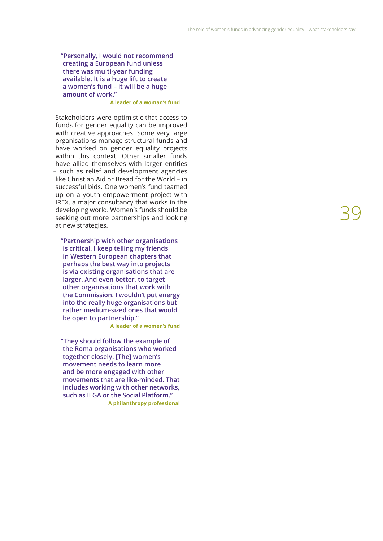**"Personally, I would not recommend creating a European fund unless there was multi-year funding available. It is a huge lift to create a women's fund – it will be a huge amount of work."**

### **A leader of a woman's fund**

Stakeholders were optimistic that access to funds for gender equality can be improved with creative approaches. Some very large organisations manage structural funds and have worked on gender equality projects within this context. Other smaller funds have allied themselves with larger entities – such as relief and development agencies like Christian Aid or Bread for the World – in successful bids. One women's fund teamed up on a youth empowerment project with IREX, a major consultancy that works in the developing world. Women's funds should be seeking out more partnerships and looking at new strategies.

**"Partnership with other organisations is critical. I keep telling my friends in Western European chapters that perhaps the best way into projects is via existing organisations that are larger. And even better, to target other organisations that work with the Commission. I wouldn't put energy into the really huge organisations but rather medium-sized ones that would be open to partnership."** 

**A leader of a women's fund**

**"They should follow the example of the Roma organisations who worked together closely. [The] women's movement needs to learn more and be more engaged with other movements that are like-minded. That includes working with other networks, such as ILGA or the Social Platform." A philanthropy professional**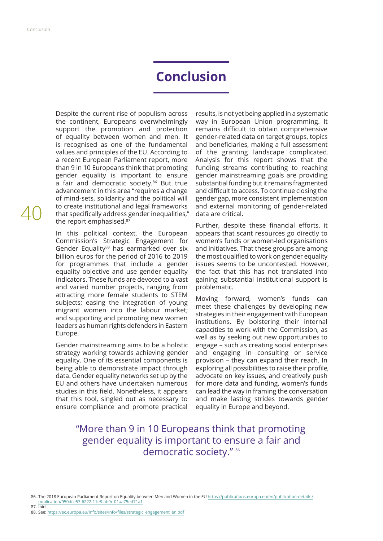## **Conclusion**

Despite the current rise of populism across the continent, Europeans overwhelmingly support the promotion and protection of equality between women and men. It is recognised as one of the fundamental values and principles of the EU. According to a recent European Parliament report, more than 9 in 10 Europeans think that promoting gender equality is important to ensure a fair and democratic society.86 But true advancement in this area "requires a change of mind-sets, solidarity and the political will to create institutional and legal frameworks that specifically address gender inequalities," the report emphasised.<sup>87</sup>

In this political context, the European Commission's Strategic Engagement for Gender Equality<sup>88</sup> has earmarked over six billion euros for the period of 2016 to 2019 for programmes that include a gender equality objective and use gender equality indicators. These funds are devoted to a vast and varied number projects, ranging from attracting more female students to STEM subjects; easing the integration of young migrant women into the labour market; and supporting and promoting new women leaders as human rights defenders in Eastern Europe.

Gender mainstreaming aims to be a holistic strategy working towards achieving gender equality. One of its essential components is being able to demonstrate impact through data. Gender equality networks set up by the EU and others have undertaken numerous studies in this feld. Nonetheless, it appears that this tool, singled out as necessary to ensure compliance and promote practical

results, is not yet being applied in a systematic way in European Union programming. It remains difficult to obtain comprehensive gender-related data on target groups, topics and beneficiaries, making a full assessment of the granting landscape complicated. Analysis for this report shows that the funding streams contributing to reaching gender mainstreaming goals are providing substantial funding but it remains fragmented and difficult to access. To continue closing the gender gap, more consistent implementation and external monitoring of gender-related data are critical.

Further, despite these financial efforts, it appears that scant resources go directly to women's funds or women-led organisations and initiatives. That these groups are among the most qualifed to work on gender equality issues seems to be uncontested. However, the fact that this has not translated into gaining substantial institutional support is problematic.

Moving forward, women's funds can meet these challenges by developing new strategies in their engagement with European institutions. By bolstering their internal capacities to work with the Commission, as well as by seeking out new opportunities to engage – such as creating social enterprises and engaging in consulting or service provision – they can expand their reach. In exploring all possibilities to raise their profle, advocate on key issues, and creatively push for more data and funding, women's funds can lead the way in framing the conversation and make lasting strides towards gender equality in Europe and beyond.

## "More than 9 in 10 Europeans think that promoting gender equality is important to ensure a fair and democratic society." 86

86. The 2018 European Parliament Report on Equality between Men and Women in the EU [https://publications.europa.eu/en/publication-detail/-/](https://publications.europa.eu/en/publication-detail/-/publication/950dce57-6222-11e8-ab9c-01aa75ed71a1) [publication/950dce57-6222-11e8-ab9c-01aa75ed71a1](https://publications.europa.eu/en/publication-detail/-/publication/950dce57-6222-11e8-ab9c-01aa75ed71a1)

- 87. Ibid.
- 88. See: [https://ec.europa.eu/info/sites/info/fles/strategic\\_engagement\\_en.pdf](https://ec.europa.eu/info/sites/info/files/strategic_engagement_en.pdf)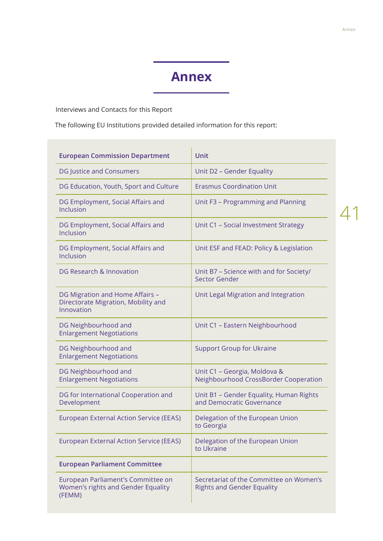## **Annex**

Interviews and Contacts for this Report

The following EU Institutions provided detailed information for this report:

| <b>European Commission Department</b>                                                | <b>Unit</b>                                                                  |
|--------------------------------------------------------------------------------------|------------------------------------------------------------------------------|
| DG Justice and Consumers                                                             | Unit D2 - Gender Equality                                                    |
| DG Education, Youth, Sport and Culture                                               | <b>Erasmus Coordination Unit</b>                                             |
| DG Employment, Social Affairs and<br>Inclusion                                       | Unit F3 - Programming and Planning                                           |
| DG Employment, Social Affairs and<br>Inclusion                                       | Unit C1 - Social Investment Strategy                                         |
| DG Employment, Social Affairs and<br>Inclusion                                       | Unit ESF and FEAD: Policy & Legislation                                      |
| DG Research & Innovation                                                             | Unit B7 - Science with and for Society/<br>Sector Gender                     |
| DG Migration and Home Affairs -<br>Directorate Migration, Mobility and<br>Innovation | Unit Legal Migration and Integration                                         |
| DG Neighbourhood and<br><b>Enlargement Negotiations</b>                              | Unit C1 - Eastern Neighbourhood                                              |
| DG Neighbourhood and<br><b>Enlargement Negotiations</b>                              | <b>Support Group for Ukraine</b>                                             |
| DG Neighbourhood and<br><b>Enlargement Negotiations</b>                              | Unit C1 - Georgia, Moldova &<br>Neighbourhood CrossBorder Cooperation        |
| DG for International Cooperation and<br>Development                                  | Unit B1 - Gender Equality, Human Rights<br>and Democratic Governance         |
| <b>European External Action Service (EEAS)</b>                                       | Delegation of the European Union<br>to Georgia                               |
| <b>European External Action Service (EEAS)</b>                                       | Delegation of the European Union<br>to Ukraine                               |
| <b>European Parliament Committee</b>                                                 |                                                                              |
| European Parliament's Committee on<br>Women's rights and Gender Equality<br>(FEMM)   | Secretariat of the Committee on Women's<br><b>Rights and Gender Equality</b> |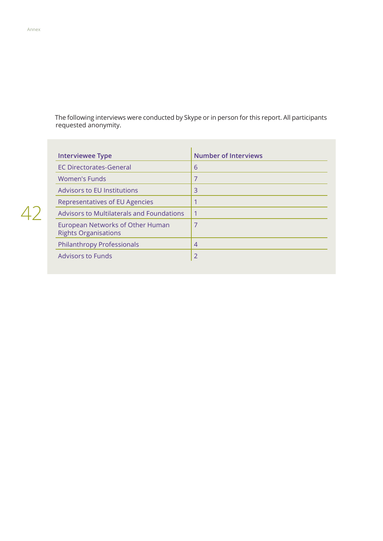The following interviews were conducted by Skype or in person for this report. All participants requested anonymity.

| <b>Interviewee Type</b>                                         | <b>Number of Interviews</b> |
|-----------------------------------------------------------------|-----------------------------|
| <b>EC Directorates-General</b>                                  | 6                           |
| Women's Funds                                                   | 7                           |
| <b>Advisors to EU Institutions</b>                              | 3                           |
| Representatives of EU Agencies                                  |                             |
| Advisors to Multilaterals and Foundations                       | 1                           |
| European Networks of Other Human<br><b>Rights Organisations</b> | 7                           |
| <b>Philanthropy Professionals</b>                               | $\overline{4}$              |
| <b>Advisors to Funds</b>                                        | $\overline{2}$              |